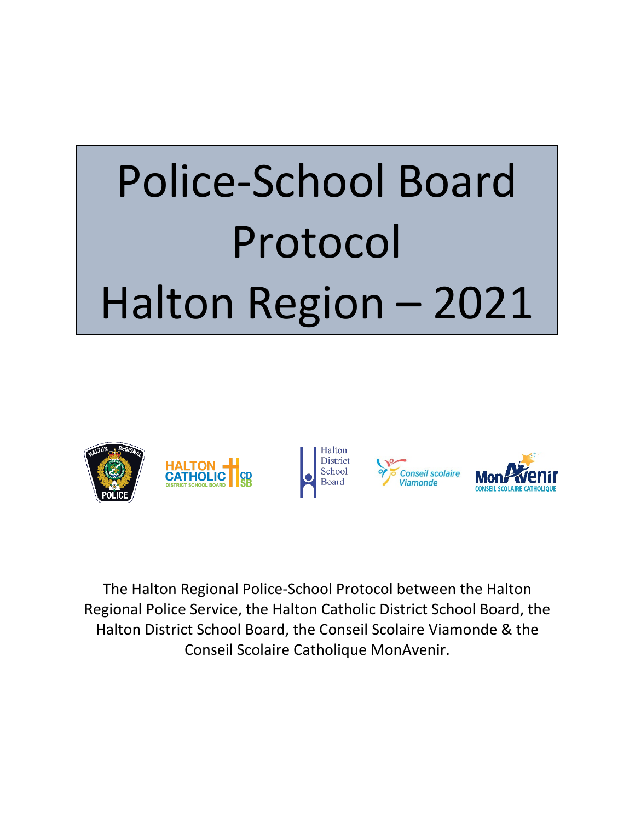# Police-School Board Protocol Halton Region – 2021



The Halton Regional Police-School Protocol between the Halton Regional Police Service, the Halton Catholic District School Board, the Halton District School Board, the Conseil Scolaire Viamonde & the Conseil Scolaire Catholique MonAvenir.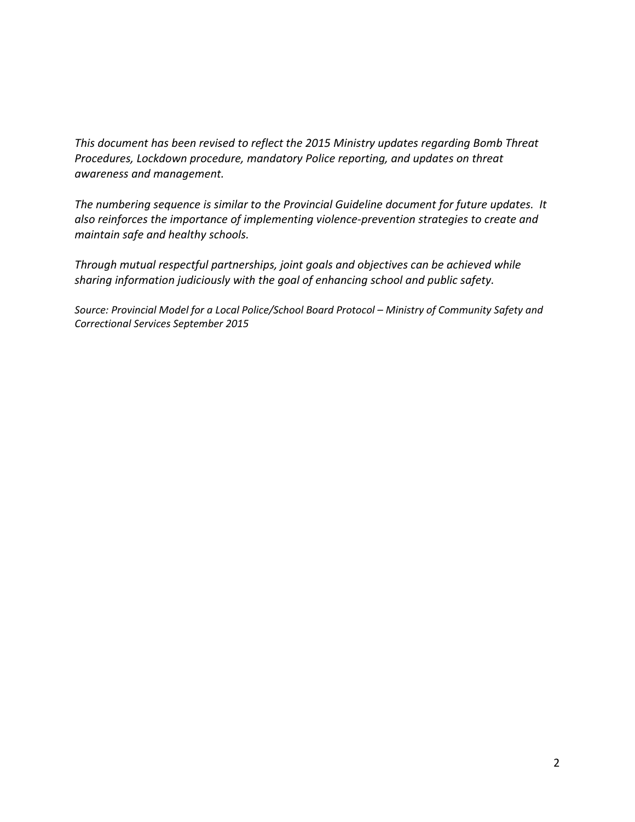*This document has been revised to reflect the 2015 Ministry updates regarding Bomb Threat Procedures, Lockdown procedure, mandatory Police reporting, and updates on threat awareness and management.* 

*The numbering sequence is similar to the Provincial Guideline document for future updates. It also reinforces the importance of implementing violence-prevention strategies to create and maintain safe and healthy schools.* 

*Through mutual respectful partnerships, joint goals and objectives can be achieved while sharing information judiciously with the goal of enhancing school and public safety.* 

*Source: Provincial Model for a Local Police/School Board Protocol – Ministry of Community Safety and Correctional Services September 2015*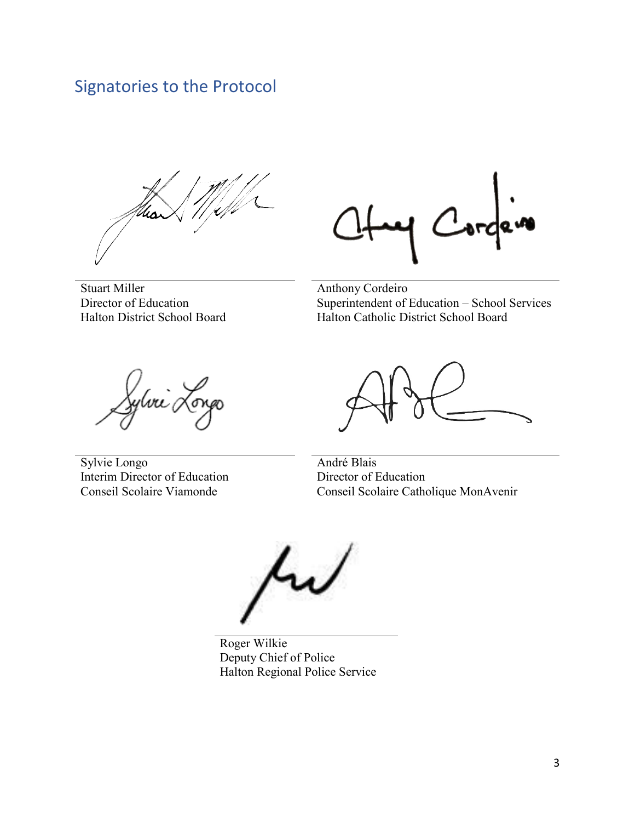# Signatories to the Protocol

Stuart Miller Director of Education Halton District School Board

Anthony Cordeiro Superintendent of Education – School Services Halton Catholic District School Board

ylva

Sylvie Longo Interim Director of Education Conseil Scolaire Viamonde

André Blais Director of Education Conseil Scolaire Catholique MonAvenir

Roger Wilkie Deputy Chief of Police Halton Regional Police Service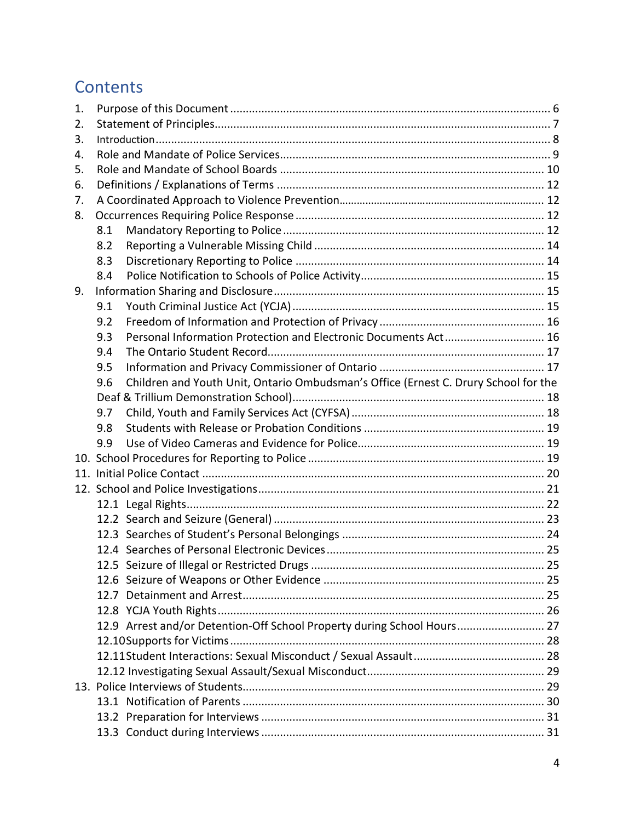# **Contents**

| 1. |                                                                                            |  |
|----|--------------------------------------------------------------------------------------------|--|
| 2. |                                                                                            |  |
| 3. |                                                                                            |  |
| 4. |                                                                                            |  |
| 5. |                                                                                            |  |
| 6. |                                                                                            |  |
| 7. |                                                                                            |  |
| 8. |                                                                                            |  |
|    | 8.1                                                                                        |  |
|    | 8.2                                                                                        |  |
|    | 8.3                                                                                        |  |
|    | 8.4                                                                                        |  |
| 9. |                                                                                            |  |
|    | 9.1                                                                                        |  |
|    | 9.2                                                                                        |  |
|    | Personal Information Protection and Electronic Documents Act 16<br>9.3                     |  |
|    | 9.4                                                                                        |  |
|    | 9.5                                                                                        |  |
|    | Children and Youth Unit, Ontario Ombudsman's Office (Ernest C. Drury School for the<br>9.6 |  |
|    |                                                                                            |  |
|    | 9.7                                                                                        |  |
|    | 9.8                                                                                        |  |
|    | 9.9                                                                                        |  |
|    |                                                                                            |  |
|    |                                                                                            |  |
|    |                                                                                            |  |
|    |                                                                                            |  |
|    |                                                                                            |  |
|    |                                                                                            |  |
|    |                                                                                            |  |
|    |                                                                                            |  |
|    |                                                                                            |  |
|    |                                                                                            |  |
|    |                                                                                            |  |
|    | 12.9 Arrest and/or Detention-Off School Property during School Hours 27                    |  |
|    |                                                                                            |  |
|    |                                                                                            |  |
|    |                                                                                            |  |
|    |                                                                                            |  |
|    |                                                                                            |  |
|    |                                                                                            |  |
|    |                                                                                            |  |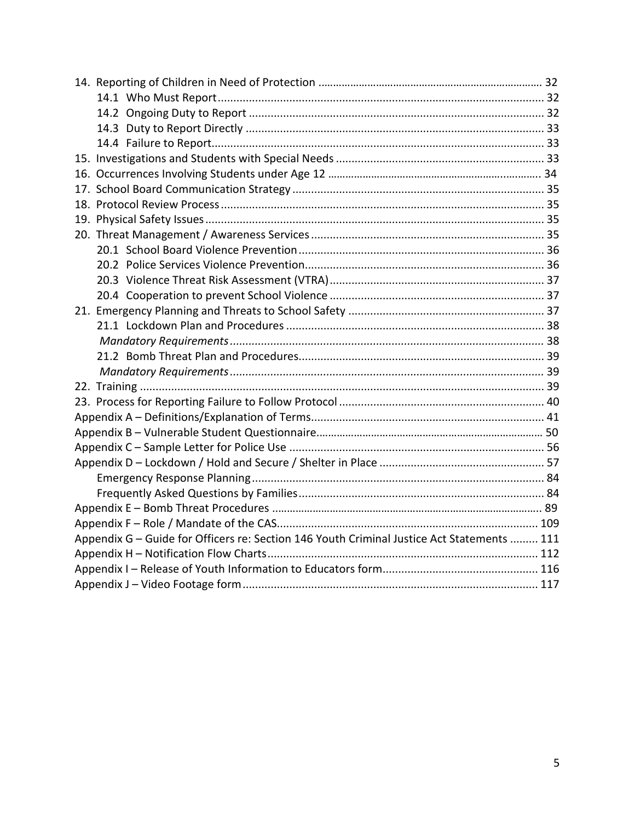| Appendix G - Guide for Officers re: Section 146 Youth Criminal Justice Act Statements  111 |  |  |
|--------------------------------------------------------------------------------------------|--|--|
|                                                                                            |  |  |
|                                                                                            |  |  |
|                                                                                            |  |  |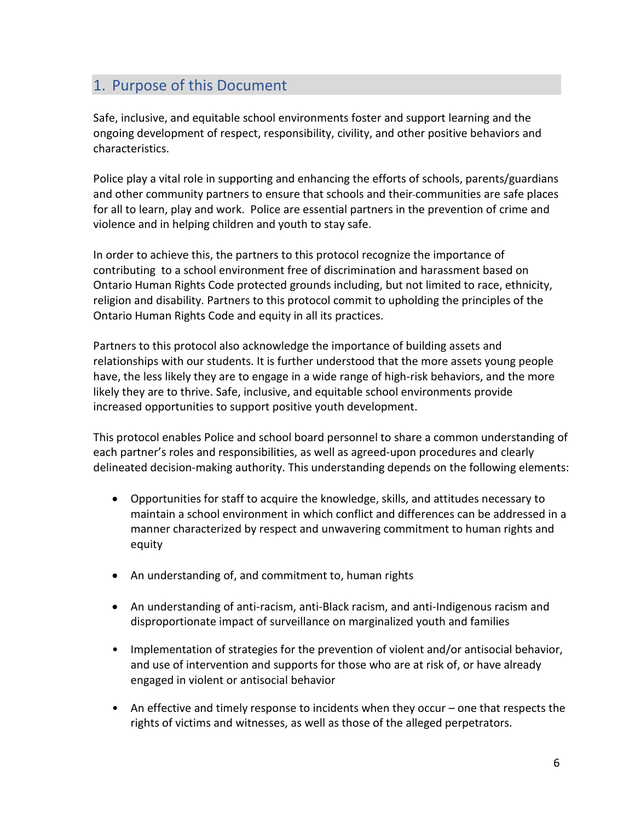# <span id="page-5-0"></span>1. Purpose of this Document

Safe, inclusive, and equitable school environments foster and support learning and the ongoing development of respect, responsibility, civility, and other positive behaviors and characteristics.

Police play a vital role in supporting and enhancing the efforts of schools, parents/guardians and other community partners to ensure that schools and their communities are safe places for all to learn, play and work. Police are essential partners in the prevention of crime and violence and in helping children and youth to stay safe.

In order to achieve this, the partners to this protocol recognize the importance of contributing to a school environment free of discrimination and harassment based on Ontario Human Rights Code protected grounds including, but not limited to race, ethnicity, religion and disability. Partners to this protocol commit to upholding the principles of the Ontario Human Rights Code and equity in all its practices.

Partners to this protocol also acknowledge the importance of building assets and relationships with our students. It is further understood that the more assets young people have, the less likely they are to engage in a wide range of high-risk behaviors, and the more likely they are to thrive. Safe, inclusive, and equitable school environments provide increased opportunities to support positive youth development.

This protocol enables Police and school board personnel to share a common understanding of each partner's roles and responsibilities, as well as agreed-upon procedures and clearly delineated decision-making authority. This understanding depends on the following elements:

- Opportunities for staff to acquire the knowledge, skills, and attitudes necessary to maintain a school environment in which conflict and differences can be addressed in a manner characterized by respect and unwavering commitment to human rights and equity
- An understanding of, and commitment to, human rights
- An understanding of anti-racism, anti-Black racism, and anti-Indigenous racism and disproportionate impact of surveillance on marginalized youth and families
- Implementation of strategies for the prevention of violent and/or antisocial behavior, and use of intervention and supports for those who are at risk of, or have already engaged in violent or antisocial behavior
- An effective and timely response to incidents when they occur one that respects the rights of victims and witnesses, as well as those of the alleged perpetrators.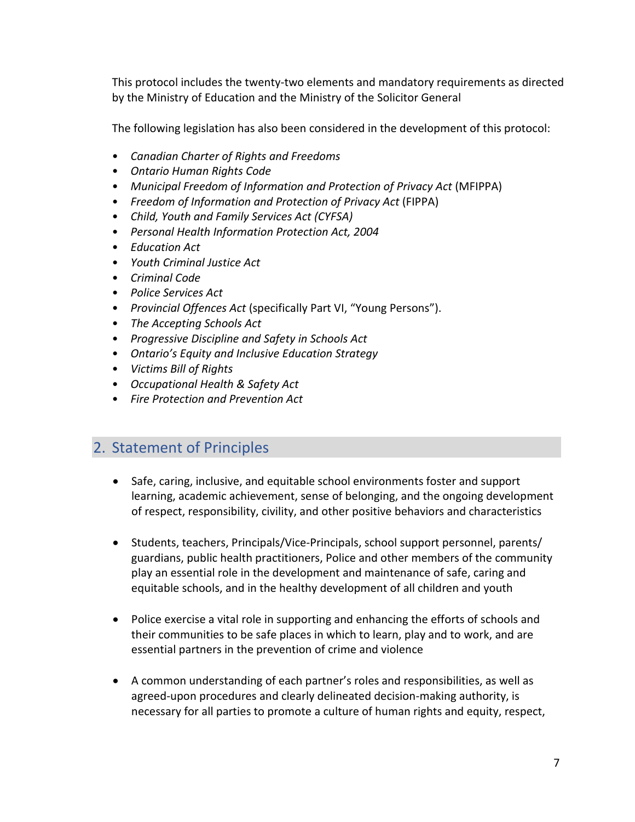This protocol includes the twenty-two elements and mandatory requirements as directed by the Ministry of Education and the Ministry of the Solicitor General

The following legislation has also been considered in the development of this protocol:

- *Canadian Charter of Rights and Freedoms*
- *Ontario Human Rights Code*
- *Municipal Freedom of Information and Protection of Privacy Act* (MFIPPA)
- *Freedom of Information and Protection of Privacy Act* (FIPPA)
- *Child, Youth and Family Services Act (CYFSA)*
- *Personal Health Information Protection Act, 2004*
- *Education Act*
- *Youth Criminal Justice Act*
- *Criminal Code*
- *Police Services Act*
- *Provincial Offences Act* (specifically Part VI, "Young Persons").
- *The Accepting Schools Act*
- *Progressive Discipline and Safety in Schools Act*
- *Ontario's Equity and Inclusive Education Strategy*
- *Victims Bill of Rights*
- *Occupational Health & Safety Act*
- *Fire Protection and Prevention Act*

# <span id="page-6-0"></span>2. Statement of Principles

- Safe, caring, inclusive, and equitable school environments foster and support learning, academic achievement, sense of belonging, and the ongoing development of respect, responsibility, civility, and other positive behaviors and characteristics
- Students, teachers, Principals/Vice-Principals, school support personnel, parents/ guardians, public health practitioners, Police and other members of the community play an essential role in the development and maintenance of safe, caring and equitable schools, and in the healthy development of all children and youth
- Police exercise a vital role in supporting and enhancing the efforts of schools and their communities to be safe places in which to learn, play and to work, and are essential partners in the prevention of crime and violence
- A common understanding of each partner's roles and responsibilities, as well as agreed-upon procedures and clearly delineated decision-making authority, is necessary for all parties to promote a culture of human rights and equity, respect,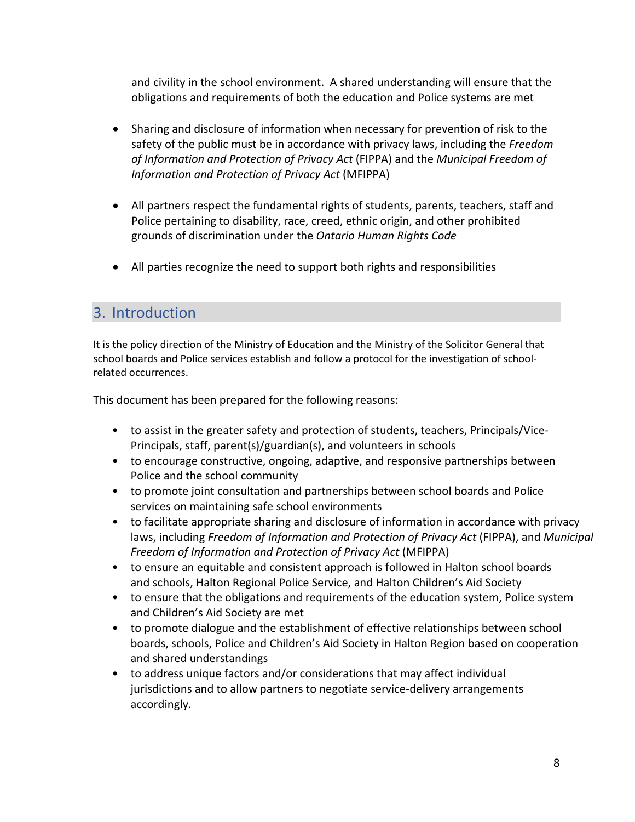and civility in the school environment. A shared understanding will ensure that the obligations and requirements of both the education and Police systems are met

- Sharing and disclosure of information when necessary for prevention of risk to the safety of the public must be in accordance with privacy laws, including the *Freedom of Information and Protection of Privacy Act* (FIPPA) and the *Municipal Freedom of Information and Protection of Privacy Act* (MFIPPA)
- All partners respect the fundamental rights of students, parents, teachers, staff and Police pertaining to disability, race, creed, ethnic origin, and other prohibited grounds of discrimination under the *Ontario Human Rights Code*
- All parties recognize the need to support both rights and responsibilities

# <span id="page-7-0"></span>3. Introduction

It is the policy direction of the Ministry of Education and the Ministry of the Solicitor General that school boards and Police services establish and follow a protocol for the investigation of schoolrelated occurrences.

This document has been prepared for the following reasons:

- to assist in the greater safety and protection of students, teachers, Principals/Vice-Principals, staff, parent(s)/guardian(s), and volunteers in schools
- to encourage constructive, ongoing, adaptive, and responsive partnerships between Police and the school community
- to promote joint consultation and partnerships between school boards and Police services on maintaining safe school environments
- to facilitate appropriate sharing and disclosure of information in accordance with privacy laws, including *Freedom of Information and Protection of Privacy Act* (FIPPA), and *Municipal Freedom of Information and Protection of Privacy Act* (MFIPPA)
- to ensure an equitable and consistent approach is followed in Halton school boards and schools, Halton Regional Police Service, and Halton Children's Aid Society
- to ensure that the obligations and requirements of the education system, Police system and Children's Aid Society are met
- to promote dialogue and the establishment of effective relationships between school boards, schools, Police and Children's Aid Society in Halton Region based on cooperation and shared understandings
- to address unique factors and/or considerations that may affect individual jurisdictions and to allow partners to negotiate service-delivery arrangements accordingly.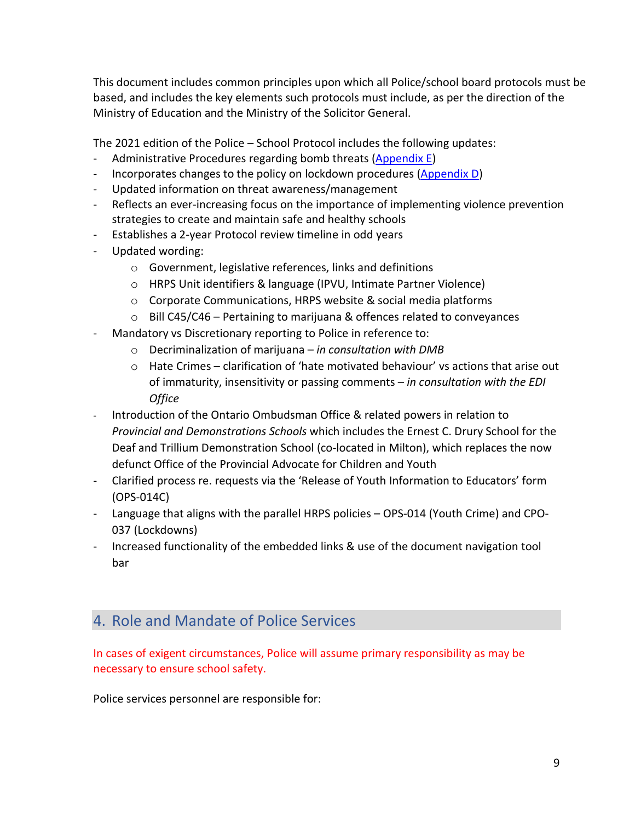This document includes common principles upon which all Police/school board protocols must be based, and includes the key elements such protocols must include, as per the direction of the Ministry of Education and the Ministry of the Solicitor General.

The 2021 edition of the Police – School Protocol includes the following updates:

- Administrative Procedures regarding bomb threats (Appendix E)
- Incorporates changes to the policy on lockdown procedures (Appendix D)
- Updated information on threat awareness/management
- Reflects an ever-increasing focus on the importance of implementing violence prevention strategies to create and maintain safe and healthy schools
- Establishes a 2-year Protocol review timeline in odd years
- Updated wording:
	- o Government, legislative references, links and definitions
	- o HRPS Unit identifiers & language (IPVU, Intimate Partner Violence)
	- o Corporate Communications, HRPS website & social media platforms
	- $\circ$  Bill C45/C46 Pertaining to marijuana & offences related to conveyances
- Mandatory vs Discretionary reporting to Police in reference to:
	- o Decriminalization of marijuana *in consultation with DMB*
	- $\circ$  Hate Crimes clarification of 'hate motivated behaviour' vs actions that arise out of immaturity, insensitivity or passing comments – *in consultation with the EDI Office*
- Introduction of the Ontario Ombudsman Office & related powers in relation to *Provincial and Demonstrations Schools* which includes the Ernest C. Drury School for the Deaf and Trillium Demonstration School (co-located in Milton), which replaces the now defunct Office of the Provincial Advocate for Children and Youth
- Clarified process re. requests via the 'Release of Youth Information to Educators' form (OPS-014C)
- Language that aligns with the parallel HRPS policies OPS-014 (Youth Crime) and CPO-037 (Lockdowns)
- Increased functionality of the embedded links & use of the document navigation tool bar

# <span id="page-8-0"></span>4. Role and Mandate of Police Services

In cases of exigent circumstances, Police will assume primary responsibility as may be necessary to ensure school safety.

Police services personnel are responsible for: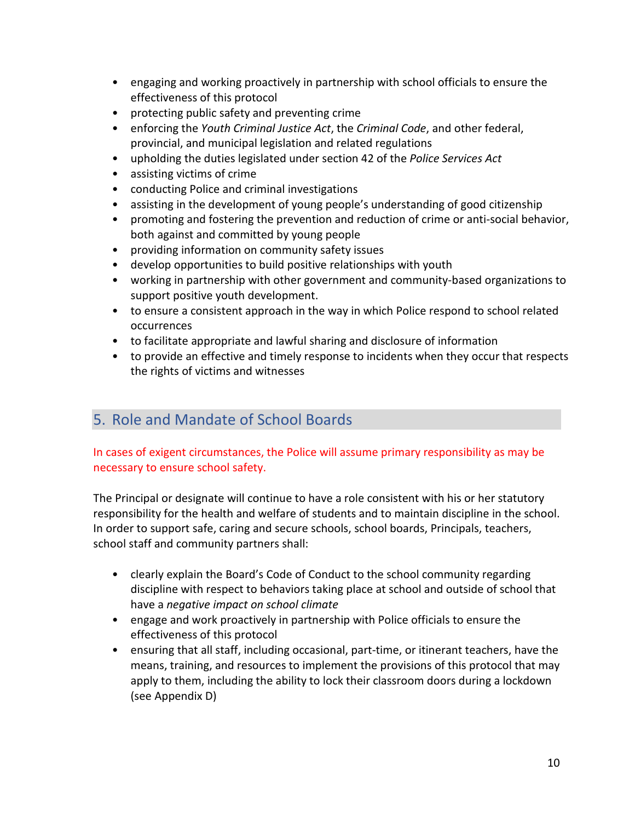- engaging and working proactively in partnership with school officials to ensure the effectiveness of this protocol
- protecting public safety and preventing crime
- enforcing the *Youth Criminal Justice Act*, the *Criminal Code*, and other federal, provincial, and municipal legislation and related regulations
- upholding the duties legislated under section 42 of the *Police Services Act*
- assisting victims of crime
- conducting Police and criminal investigations
- assisting in the development of young people's understanding of good citizenship
- promoting and fostering the prevention and reduction of crime or anti-social behavior, both against and committed by young people
- providing information on community safety issues
- develop opportunities to build positive relationships with youth
- working in partnership with other government and community-based organizations to support positive youth development.
- to ensure a consistent approach in the way in which Police respond to school related occurrences
- to facilitate appropriate and lawful sharing and disclosure of information
- to provide an effective and timely response to incidents when they occur that respects the rights of victims and witnesses

# <span id="page-9-0"></span>5. Role and Mandate of School Boards

#### In cases of exigent circumstances, the Police will assume primary responsibility as may be necessary to ensure school safety.

The Principal or designate will continue to have a role consistent with his or her statutory responsibility for the health and welfare of students and to maintain discipline in the school. In order to support safe, caring and secure schools, school boards, Principals, teachers, school staff and community partners shall:

- clearly explain the Board's Code of Conduct to the school community regarding discipline with respect to behaviors taking place at school and outside of school that have a *negative impact on school climate*
- engage and work proactively in partnership with Police officials to ensure the effectiveness of this protocol
- ensuring that all staff, including occasional, part-time, or itinerant teachers, have the means, training, and resources to implement the provisions of this protocol that may apply to them, including the ability to lock their classroom doors during a lockdown (see Appendix D)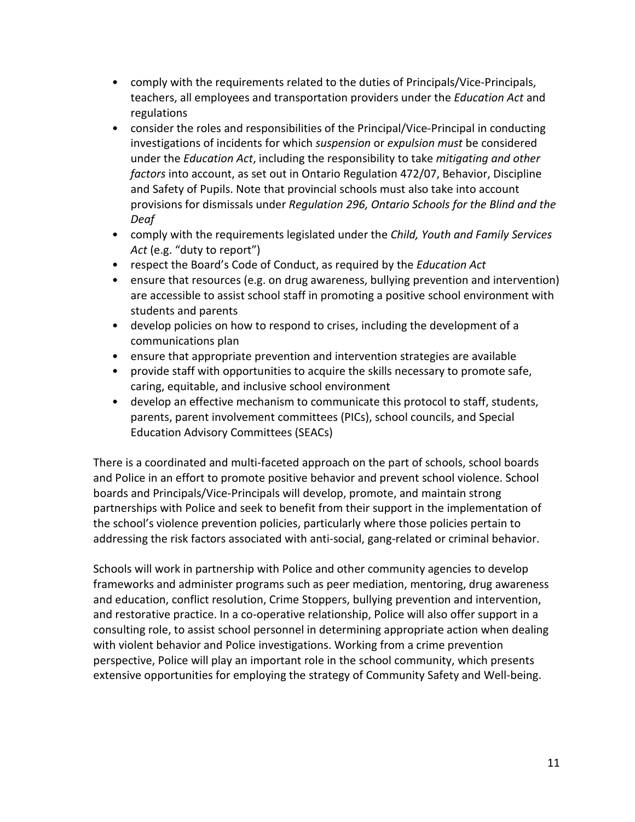- comply with the requirements related to the duties of Principals/Vice-Principals, teachers, all employees and transportation providers under the *Education Act* and regulations
- consider the roles and responsibilities of the Principal/Vice-Principal in conducting investigations of incidents for which *suspension* or *expulsion must* be considered under the *Education Act*, including the responsibility to take *mitigating and other factors* into account, as set out in Ontario Regulation 472/07, Behavior, Discipline and Safety of Pupils. Note that provincial schools must also take into account provisions for dismissals under *Regulation 296, Ontario Schools for the Blind and the Deaf*
- comply with the requirements legislated under the *Child, Youth and Family Services Act* (e.g. "duty to report")
- respect the Board's Code of Conduct, as required by the *Education Act*
- ensure that resources (e.g. on drug awareness, bullying prevention and intervention) are accessible to assist school staff in promoting a positive school environment with students and parents
- develop policies on how to respond to crises, including the development of a communications plan
- ensure that appropriate prevention and intervention strategies are available
- provide staff with opportunities to acquire the skills necessary to promote safe, caring, equitable, and inclusive school environment
- develop an effective mechanism to communicate this protocol to staff, students, parents, parent involvement committees (PICs), school councils, and Special Education Advisory Committees (SEACs)

There is a coordinated and multi-faceted approach on the part of schools, school boards and Police in an effort to promote positive behavior and prevent school violence. School boards and Principals/Vice-Principals will develop, promote, and maintain strong partnerships with Police and seek to benefit from their support in the implementation of the school's violence prevention policies, particularly where those policies pertain to addressing the risk factors associated with anti-social, gang-related or criminal behavior.

Schools will work in partnership with Police and other community agencies to develop frameworks and administer programs such as peer mediation, mentoring, drug awareness and education, conflict resolution, Crime Stoppers, bullying prevention and intervention, and restorative practice. In a co-operative relationship, Police will also offer support in a consulting role, to assist school personnel in determining appropriate action when dealing with violent behavior and Police investigations. Working from a crime prevention perspective, Police will play an important role in the school community, which presents extensive opportunities for employing the strategy of Community Safety and Well-being.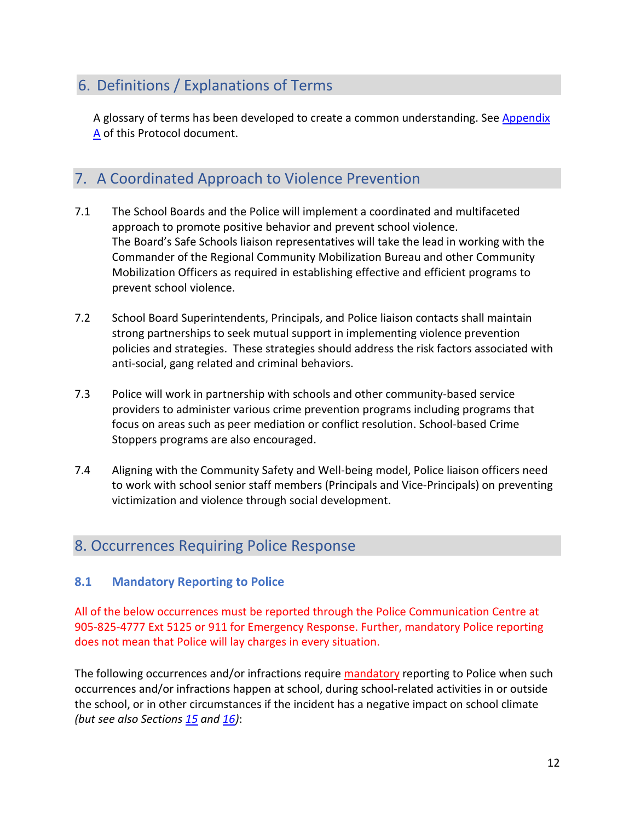# <span id="page-11-0"></span>6. Definitions / Explanations of Terms

A glossary of terms has been developed to create a common understanding. See Appendix A of this Protocol document.

# <span id="page-11-1"></span>7. A Coordinated Approach to Violence Prevention

- 7.1 The School Boards and the Police will implement a coordinated and multifaceted approach to promote positive behavior and prevent school violence. The Board's Safe Schools liaison representatives will take the lead in working with the Commander of the Regional Community Mobilization Bureau and other Community Mobilization Officers as required in establishing effective and efficient programs to prevent school violence.
- 7.2 School Board Superintendents, Principals, and Police liaison contacts shall maintain strong partnerships to seek mutual support in implementing violence prevention policies and strategies. These strategies should address the risk factors associated with anti-social, gang related and criminal behaviors.
- 7.3 Police will work in partnership with schools and other community-based service providers to administer various crime prevention programs including programs that focus on areas such as peer mediation or conflict resolution. School-based Crime Stoppers programs are also encouraged.
- 7.4 Aligning with the Community Safety and Well-being model, Police liaison officers need to work with school senior staff members (Principals and Vice-Principals) on preventing victimization and violence through social development.

# <span id="page-11-2"></span>8. Occurrences Requiring Police Response

#### <span id="page-11-3"></span>**8.1 Mandatory Reporting to Police**

All of the below occurrences must be reported through the Police Communication Centre at 905-825-4777 Ext 5125 or 911 for Emergency Response. Further, mandatory Police reporting does not mean that Police will lay charges in every situation.

The following occurrences and/or infractions require mandatory reporting to Police when such occurrences and/or infractions happen at school, during school-related activities in or outside the school, or in other circumstances if the incident has a negative impact on school climate *(but see also Section[s 15](#page-32-2) and [16\)](#page-33-0)*: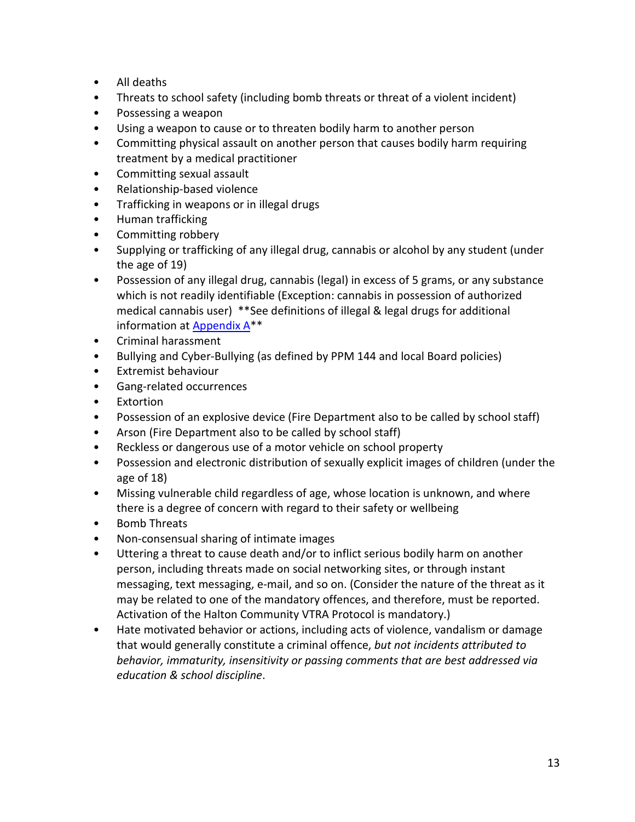- All deaths
- Threats to school safety (including bomb threats or threat of a violent incident)
- Possessing a weapon
- Using a weapon to cause or to threaten bodily harm to another person
- Committing physical assault on another person that causes bodily harm requiring treatment by a medical practitioner
- Committing sexual assault
- Relationship-based violence
- Trafficking in weapons or in illegal drugs
- Human trafficking
- Committing robbery
- Supplying or trafficking of any illegal drug, cannabis or alcohol by any student (under the age of 19)
- Possession of any illegal drug, cannabis (legal) in excess of 5 grams, or any substance which is not readily identifiable (Exception: cannabis in possession of authorized medical cannabis user) \*\*See definitions of illegal & legal drugs for additional information at Appendix A\*\*
- Criminal harassment
- Bullying and Cyber-Bullying (as defined by PPM 144 and local Board policies)
- Extremist behaviour
- Gang-related occurrences
- Extortion
- Possession of an explosive device (Fire Department also to be called by school staff)
- Arson (Fire Department also to be called by school staff)
- Reckless or dangerous use of a motor vehicle on school property
- Possession and electronic distribution of sexually explicit images of children (under the age of 18)
- Missing vulnerable child regardless of age, whose location is unknown, and where there is a degree of concern with regard to their safety or wellbeing
- Bomb Threats
- Non-consensual sharing of intimate images
- Uttering a threat to cause death and/or to inflict serious bodily harm on another person, including threats made on social networking sites, or through instant messaging, text messaging, e-mail, and so on. (Consider the nature of the threat as it may be related to one of the mandatory offences, and therefore, must be reported. Activation of the Halton Community VTRA Protocol is mandatory.)
- Hate motivated behavior or actions, including acts of violence, vandalism or damage that would generally constitute a criminal offence, *but not incidents attributed to behavior, immaturity, insensitivity or passing comments that are best addressed via education & school discipline*.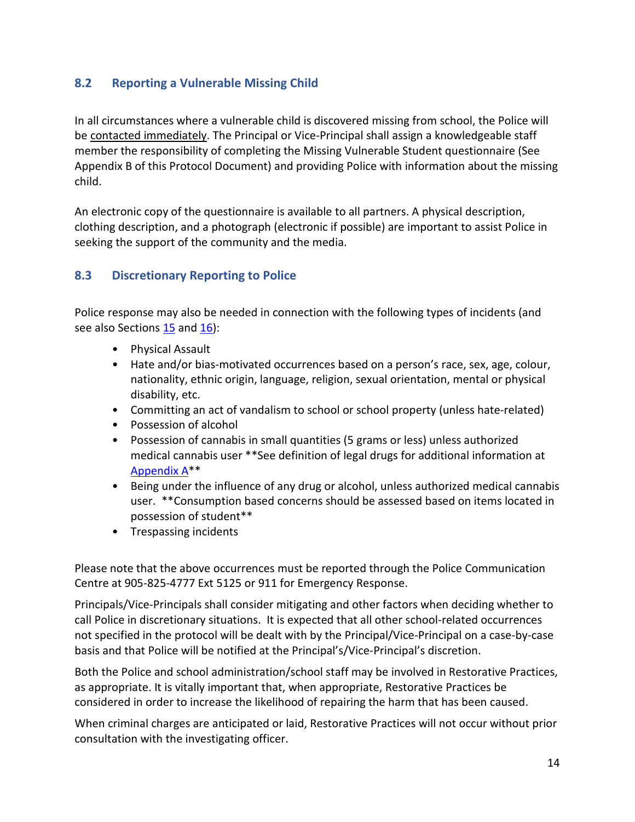## <span id="page-13-0"></span>**8.2 Reporting a Vulnerable Missing Child**

In all circumstances where a vulnerable child is discovered missing from school, the Police will be contacted immediately. The Principal or Vice-Principal shall assign a knowledgeable staff member the responsibility of completing the Missing Vulnerable Student questionnaire (See Appendix B of this Protocol Document) and providing Police with information about the missing child.

An electronic copy of the questionnaire is available to all partners. A physical description, clothing description, and a photograph (electronic if possible) are important to assist Police in seeking the support of the community and the media.

#### <span id="page-13-1"></span>**8.3 Discretionary Reporting to Police**

Police response may also be needed in connection with the following types of incidents (and see also Sections  $15$  and  $16$ ):

- Physical Assault
- Hate and/or bias-motivated occurrences based on a person's race, sex, age, colour, nationality, ethnic origin, language, religion, sexual orientation, mental or physical disability, etc.
- Committing an act of vandalism to school or school property (unless hate-related)
- Possession of alcohol
- Possession of cannabis in small quantities (5 grams or less) unless authorized medical cannabis user \*\*See definition of legal drugs for additional information at Appendix A\*\*
- Being under the influence of any drug or alcohol, unless authorized medical cannabis user. \*\*Consumption based concerns should be assessed based on items located in possession of student\*\*
- Trespassing incidents

Please note that the above occurrences must be reported through the Police Communication Centre at 905-825-4777 Ext 5125 or 911 for Emergency Response.

Principals/Vice-Principals shall consider mitigating and other factors when deciding whether to call Police in discretionary situations. It is expected that all other school-related occurrences not specified in the protocol will be dealt with by the Principal/Vice-Principal on a case-by-case basis and that Police will be notified at the Principal's/Vice-Principal's discretion.

Both the Police and school administration/school staff may be involved in Restorative Practices, as appropriate. It is vitally important that, when appropriate, Restorative Practices be considered in order to increase the likelihood of repairing the harm that has been caused.

When criminal charges are anticipated or laid, Restorative Practices will not occur without prior consultation with the investigating officer.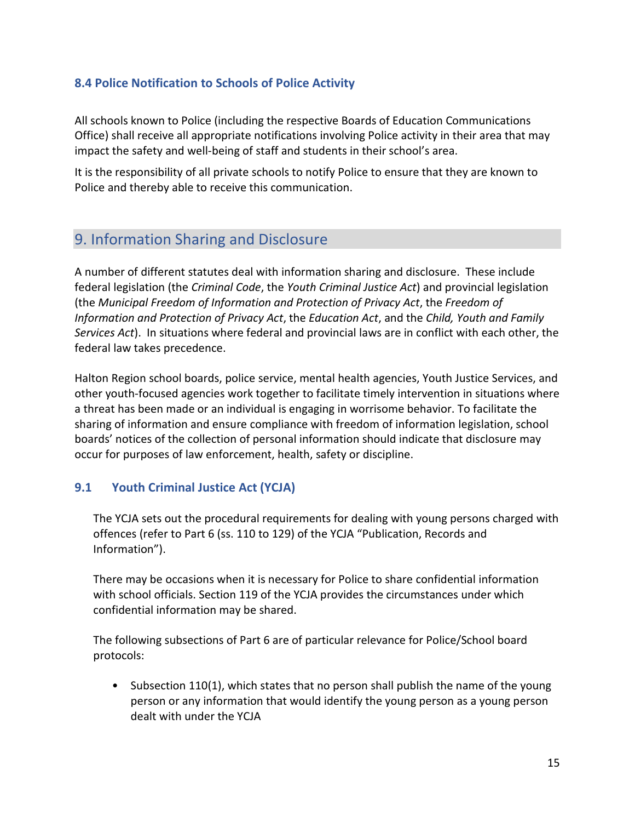### <span id="page-14-0"></span>**8.4 Police Notification to Schools of Police Activity**

All schools known to Police (including the respective Boards of Education Communications Office) shall receive all appropriate notifications involving Police activity in their area that may impact the safety and well-being of staff and students in their school's area.

It is the responsibility of all private schools to notify Police to ensure that they are known to Police and thereby able to receive this communication.

# <span id="page-14-1"></span>9. Information Sharing and Disclosure

A number of different statutes deal with information sharing and disclosure. These include federal legislation (the *Criminal Code*, the *Youth Criminal Justice Act*) and provincial legislation (the *Municipal Freedom of Information and Protection of Privacy Act*, the *Freedom of Information and Protection of Privacy Act*, the *Education Act*, and the *Child, Youth and Family Services Act*). In situations where federal and provincial laws are in conflict with each other, the federal law takes precedence.

Halton Region school boards, police service, mental health agencies, Youth Justice Services, and other youth-focused agencies work together to facilitate timely intervention in situations where a threat has been made or an individual is engaging in worrisome behavior. To facilitate the sharing of information and ensure compliance with freedom of information legislation, school boards' notices of the collection of personal information should indicate that disclosure may occur for purposes of law enforcement, health, safety or discipline.

#### <span id="page-14-2"></span>**9.1 Youth Criminal Justice Act (YCJA)**

The YCJA sets out the procedural requirements for dealing with young persons charged with offences (refer to Part 6 (ss. 110 to 129) of the YCJA "Publication, Records and Information").

There may be occasions when it is necessary for Police to share confidential information with school officials. Section 119 of the YCJA provides the circumstances under which confidential information may be shared.

The following subsections of Part 6 are of particular relevance for Police/School board protocols:

• Subsection 110(1), which states that no person shall publish the name of the young person or any information that would identify the young person as a young person dealt with under the YCJA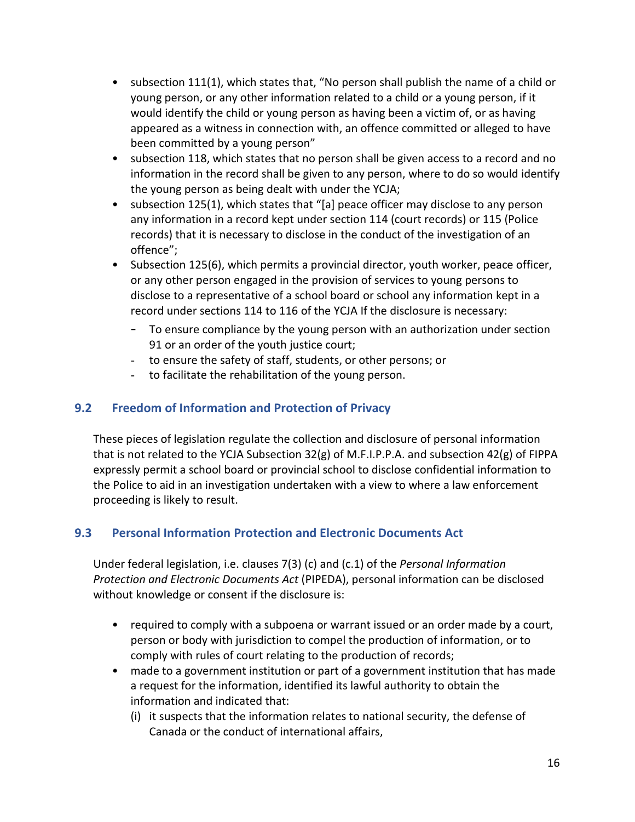- subsection 111(1), which states that, "No person shall publish the name of a child or young person, or any other information related to a child or a young person, if it would identify the child or young person as having been a victim of, or as having appeared as a witness in connection with, an offence committed or alleged to have been committed by a young person"
- subsection 118, which states that no person shall be given access to a record and no information in the record shall be given to any person, where to do so would identify the young person as being dealt with under the YCJA;
- subsection 125(1), which states that "[a] peace officer may disclose to any person any information in a record kept under section 114 (court records) or 115 (Police records) that it is necessary to disclose in the conduct of the investigation of an offence";
- Subsection 125(6), which permits a provincial director, youth worker, peace officer, or any other person engaged in the provision of services to young persons to disclose to a representative of a school board or school any information kept in a record under sections 114 to 116 of the YCJA If the disclosure is necessary:
	- To ensure compliance by the young person with an authorization under section 91 or an order of the youth justice court;
	- to ensure the safety of staff, students, or other persons; or
	- to facilitate the rehabilitation of the young person.

## <span id="page-15-0"></span>**9.2 Freedom of Information and Protection of Privacy**

These pieces of legislation regulate the collection and disclosure of personal information that is not related to the YCJA Subsection 32(g) of M.F.I.P.P.A. and subsection 42(g) of FIPPA expressly permit a school board or provincial school to disclose confidential information to the Police to aid in an investigation undertaken with a view to where a law enforcement proceeding is likely to result.

#### <span id="page-15-1"></span>**9.3 Personal Information Protection and Electronic Documents Act**

Under federal legislation, i.e. clauses 7(3) (c) and (c.1) of the *Personal Information Protection and Electronic Documents Act* (PIPEDA), personal information can be disclosed without knowledge or consent if the disclosure is:

- required to comply with a subpoena or warrant issued or an order made by a court, person or body with jurisdiction to compel the production of information, or to comply with rules of court relating to the production of records;
- made to a government institution or part of a government institution that has made a request for the information, identified its lawful authority to obtain the information and indicated that:
	- (i) it suspects that the information relates to national security, the defense of Canada or the conduct of international affairs,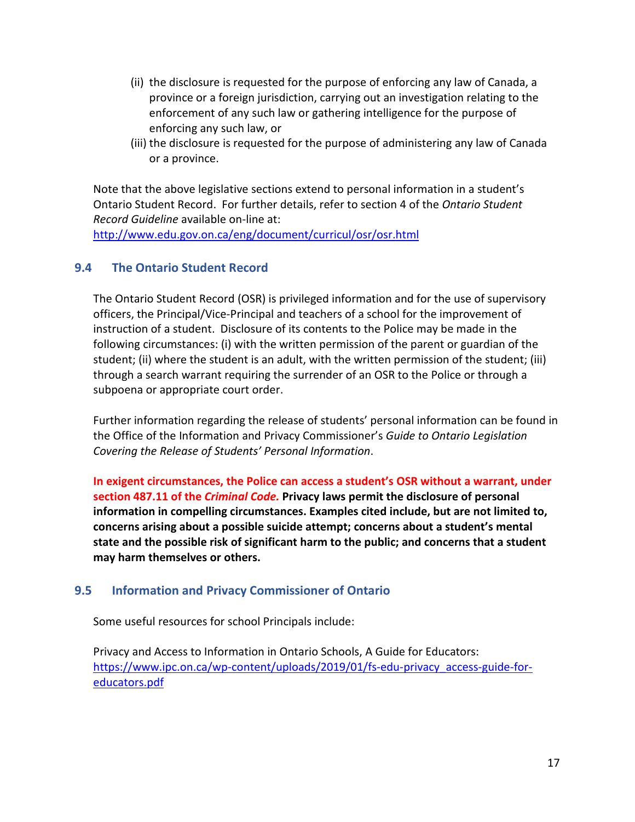- (ii) the disclosure is requested for the purpose of enforcing any law of Canada, a province or a foreign jurisdiction, carrying out an investigation relating to the enforcement of any such law or gathering intelligence for the purpose of enforcing any such law, or
- (iii) the disclosure is requested for the purpose of administering any law of Canada or a province.

Note that the above legislative sections extend to personal information in a student's Ontario Student Record. For further details, refer to section 4 of the *Ontario Student Record Guideline* available on-line at:

<http://www.edu.gov.on.ca/eng/document/curricul/osr/osr.html>

#### <span id="page-16-0"></span>**9.4 The Ontario Student Record**

The Ontario Student Record (OSR) is privileged information and for the use of supervisory officers, the Principal/Vice-Principal and teachers of a school for the improvement of instruction of a student. Disclosure of its contents to the Police may be made in the following circumstances: (i) with the written permission of the parent or guardian of the student; (ii) where the student is an adult, with the written permission of the student; (iii) through a search warrant requiring the surrender of an OSR to the Police or through a subpoena or appropriate court order.

Further information regarding the release of students' personal information can be found in the Office of the Information and Privacy Commissioner's *Guide to Ontario Legislation Covering the Release of Students' Personal Information*.

**In exigent circumstances, the Police can access a student's OSR without a warrant, under section 487.11 of the** *Criminal Code.* **Privacy laws permit the disclosure of personal information in compelling circumstances. Examples cited include, but are not limited to, concerns arising about a possible suicide attempt; concerns about a student's mental state and the possible risk of significant harm to the public; and concerns that a student may harm themselves or others.** 

#### <span id="page-16-1"></span>**9.5 Information and Privacy Commissioner of Ontario**

Some useful resources for school Principals include:

Privacy and Access to Information in Ontario Schools, A Guide for Educators: [https://www.ipc.on.ca/wp-content/uploads/2019/01/fs-edu-privacy\\_access-guide-for](https://www.ipc.on.ca/wp-content/uploads/2019/01/fs-edu-privacy_access-guide-for-educators.pdf)[educators.pdf](https://www.ipc.on.ca/wp-content/uploads/2019/01/fs-edu-privacy_access-guide-for-educators.pdf)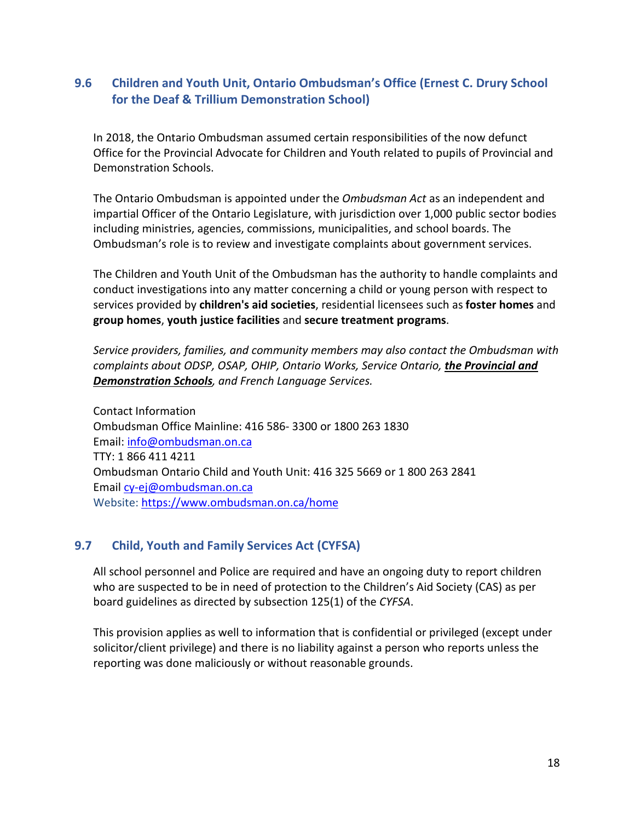## <span id="page-17-0"></span>**9.6 Children and Youth Unit, Ontario Ombudsman's Office (Ernest C. Drury School for the Deaf & Trillium Demonstration School)**

In 2018, the Ontario Ombudsman assumed certain responsibilities of the now defunct Office for the Provincial Advocate for Children and Youth related to pupils of Provincial and Demonstration Schools.

The Ontario Ombudsman is appointed under the *Ombudsman Act* as an independent and impartial Officer of the Ontario Legislature, with jurisdiction over 1,000 public sector bodies including ministries, agencies, commissions, municipalities, and school boards. The Ombudsman's role is to review and investigate complaints about government services.

The Children and Youth Unit of the Ombudsman has the authority to handle complaints and conduct investigations into any matter concerning a child or young person with respect to services provided by **children's aid societies**, residential licensees such as **foster homes** and **group homes**, **youth justice facilities** and **secure treatment programs**.

*Service providers, families, and community members may also contact the Ombudsman with complaints about ODSP, OSAP, OHIP, Ontario Works, Service Ontario, the Provincial and Demonstration Schools, and French Language Services.*

Contact Information Ombudsman Office Mainline: 416 586- 3300 or 1800 263 1830 Email: [info@ombudsman.on.ca](mailto:info@ombudsman.on.ca) TTY: 1 866 411 4211 Ombudsman Ontario Child and Youth Unit: 416 325 5669 or 1 800 263 2841 Email [cy-ej@ombudsman.on.ca](mailto:cy-ej@ombudsman.on.ca) Website:<https://www.ombudsman.on.ca/home>

#### <span id="page-17-1"></span>**9.7 Child, Youth and Family Services Act (CYFSA)**

All school personnel and Police are required and have an ongoing duty to report children who are suspected to be in need of protection to the Children's Aid Society (CAS) as per board guidelines as directed by subsection 125(1) of the *CYFSA*.

This provision applies as well to information that is confidential or privileged (except under solicitor/client privilege) and there is no liability against a person who reports unless the reporting was done maliciously or without reasonable grounds.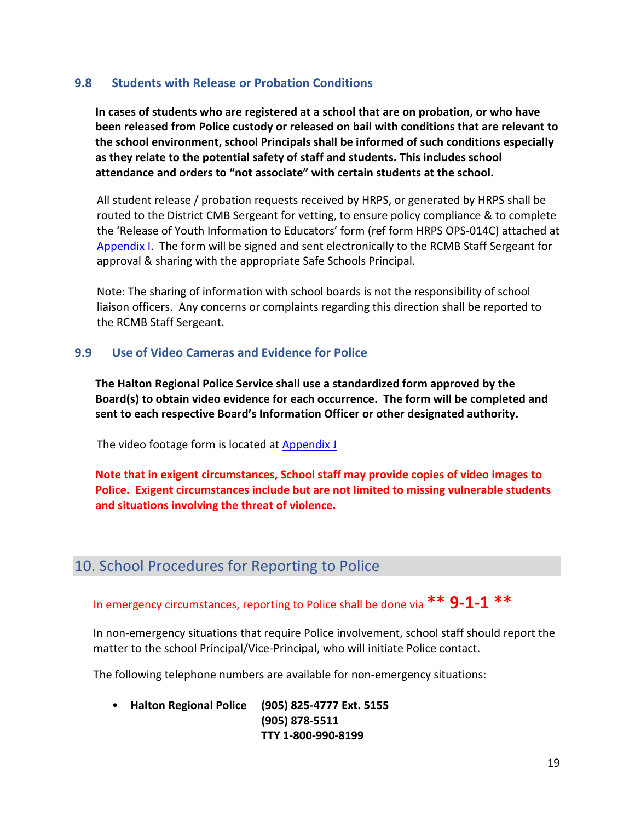#### <span id="page-18-0"></span>**9.8 Students with Release or Probation Conditions**

**In cases of students who are registered at a school that are on probation, or who have been released from Police custody or released on bail with conditions that are relevant to the school environment, school Principals shall be informed of such conditions especially as they relate to the potential safety of staff and students. This includes school attendance and orders to "not associate" with certain students at the school.**

All student release / probation requests received by HRPS, or generated by HRPS shall be routed to the District CMB Sergeant for vetting, to ensure policy compliance & to complete the 'Release of Youth Information to Educators' form (ref form HRPS OPS-014C) attached at Appendix I. The form will be signed and sent electronically to the RCMB Staff Sergeant for approval & sharing with the appropriate Safe Schools Principal.

Note: The sharing of information with school boards is not the responsibility of school liaison officers. Any concerns or complaints regarding this direction shall be reported to the RCMB Staff Sergeant.

#### <span id="page-18-1"></span>**9.9 Use of Video Cameras and Evidence for Police**

**The Halton Regional Police Service shall use a standardized form approved by the Board(s) to obtain video evidence for each occurrence. The form will be completed and sent to each respective Board's Information Officer or other designated authority.**

The video footage form is located at **Appendix J** 

**Note that in exigent circumstances, School staff may provide copies of video images to Police. Exigent circumstances include but are not limited to missing vulnerable students and situations involving the threat of violence.**

# <span id="page-18-2"></span>10. School Procedures for Reporting to Police

# In emergency circumstances, reporting to Police shall be done via **\*\* 9-1-1 \*\***

In non-emergency situations that require Police involvement, school staff should report the matter to the school Principal/Vice-Principal, who will initiate Police contact.

The following telephone numbers are available for non-emergency situations:

• **Halton Regional Police (905) 825-4777 Ext. 5155 (905) 878-5511 TTY 1-800-990-8199**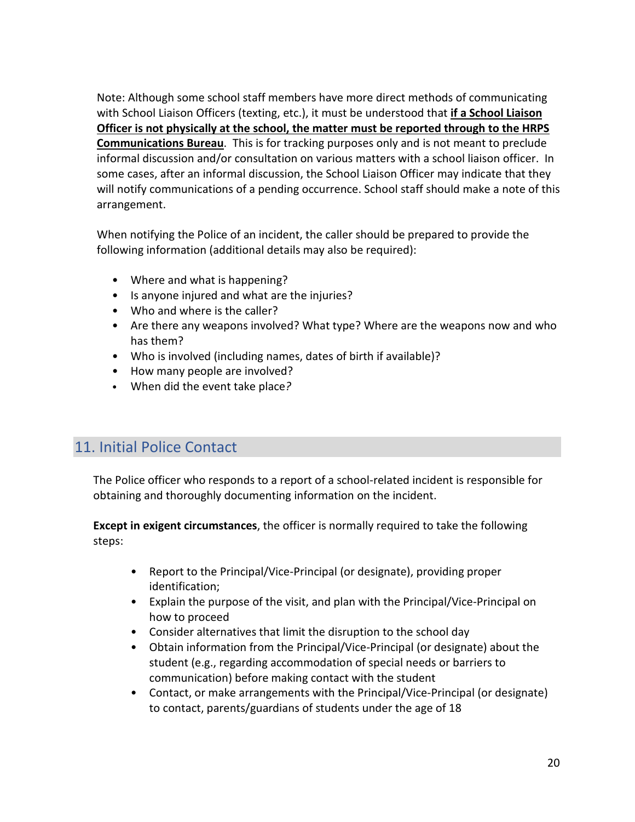Note: Although some school staff members have more direct methods of communicating with School Liaison Officers (texting, etc.), it must be understood that **if a School Liaison Officer is not physically at the school, the matter must be reported through to the HRPS Communications Bureau**. This is for tracking purposes only and is not meant to preclude informal discussion and/or consultation on various matters with a school liaison officer. In some cases, after an informal discussion, the School Liaison Officer may indicate that they will notify communications of a pending occurrence. School staff should make a note of this arrangement.

When notifying the Police of an incident, the caller should be prepared to provide the following information (additional details may also be required):

- Where and what is happening?
- Is anyone injured and what are the injuries?
- Who and where is the caller?
- Are there any weapons involved? What type? Where are the weapons now and who has them?
- Who is involved (including names, dates of birth if available)?
- How many people are involved?
- When did the event take place*?*

# <span id="page-19-0"></span>11. Initial Police Contact

The Police officer who responds to a report of a school-related incident is responsible for obtaining and thoroughly documenting information on the incident.

**Except in exigent circumstances**, the officer is normally required to take the following steps:

- Report to the Principal/Vice-Principal (or designate), providing proper identification;
- Explain the purpose of the visit, and plan with the Principal/Vice-Principal on how to proceed
- Consider alternatives that limit the disruption to the school day
- Obtain information from the Principal/Vice-Principal (or designate) about the student (e.g., regarding accommodation of special needs or barriers to communication) before making contact with the student
- Contact, or make arrangements with the Principal/Vice-Principal (or designate) to contact, parents/guardians of students under the age of 18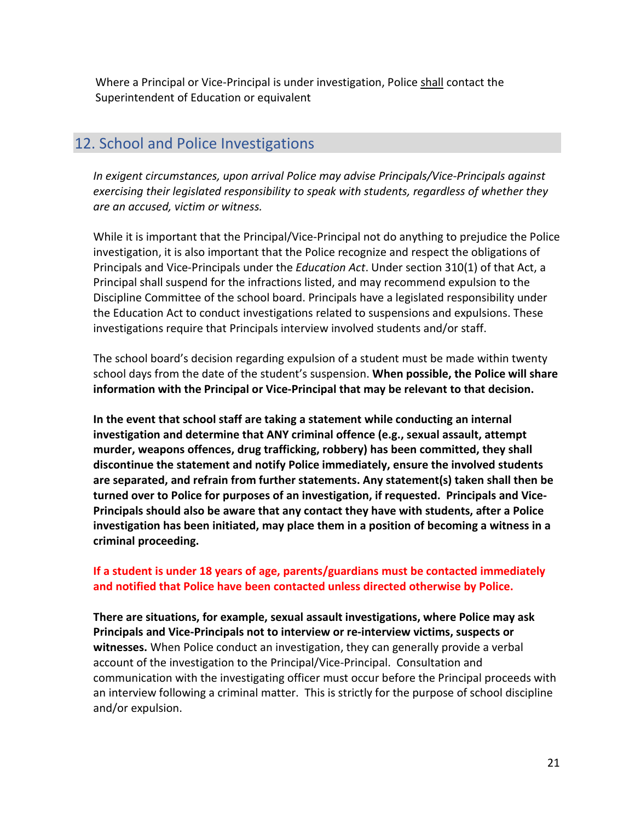Where a Principal or Vice-Principal is under investigation, Police shall contact the Superintendent of Education or equivalent

## <span id="page-20-0"></span>12. School and Police Investigations

*In exigent circumstances, upon arrival Police may advise Principals/Vice-Principals against exercising their legislated responsibility to speak with students, regardless of whether they are an accused, victim or witness.* 

While it is important that the Principal/Vice-Principal not do anything to prejudice the Police investigation, it is also important that the Police recognize and respect the obligations of Principals and Vice-Principals under the *Education Act*. Under section 310(1) of that Act, a Principal shall suspend for the infractions listed, and may recommend expulsion to the Discipline Committee of the school board. Principals have a legislated responsibility under the Education Act to conduct investigations related to suspensions and expulsions. These investigations require that Principals interview involved students and/or staff.

The school board's decision regarding expulsion of a student must be made within twenty school days from the date of the student's suspension. **When possible, the Police will share information with the Principal or Vice-Principal that may be relevant to that decision.** 

**In the event that school staff are taking a statement while conducting an internal investigation and determine that ANY criminal offence (e.g., sexual assault, attempt murder, weapons offences, drug trafficking, robbery) has been committed, they shall discontinue the statement and notify Police immediately, ensure the involved students are separated, and refrain from further statements. Any statement(s) taken shall then be turned over to Police for purposes of an investigation, if requested. Principals and Vice-Principals should also be aware that any contact they have with students, after a Police investigation has been initiated, may place them in a position of becoming a witness in a criminal proceeding.** 

#### **If a student is under 18 years of age, parents/guardians must be contacted immediately and notified that Police have been contacted unless directed otherwise by Police.**

**There are situations, for example, sexual assault investigations, where Police may ask Principals and Vice-Principals not to interview or re-interview victims, suspects or witnesses.** When Police conduct an investigation, they can generally provide a verbal account of the investigation to the Principal/Vice-Principal. Consultation and communication with the investigating officer must occur before the Principal proceeds with an interview following a criminal matter. This is strictly for the purpose of school discipline and/or expulsion.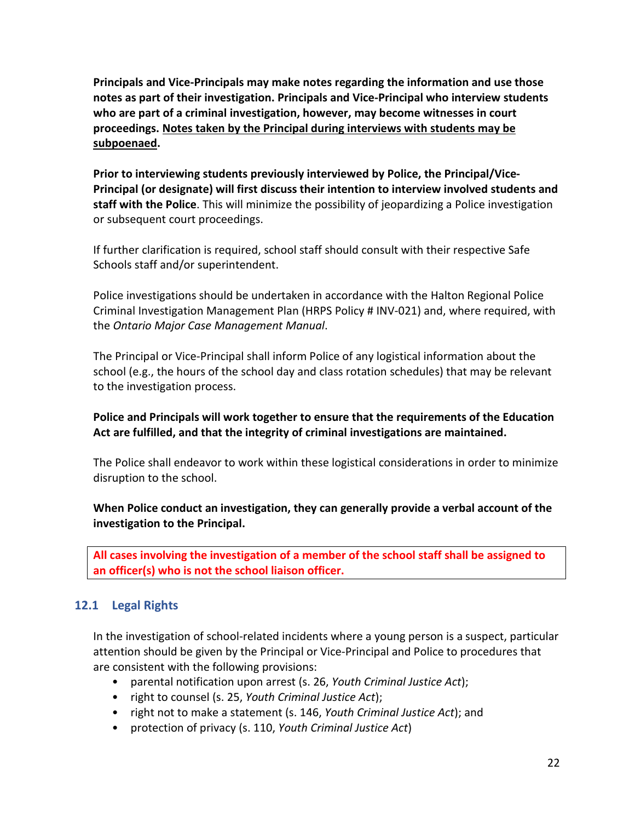**Principals and Vice-Principals may make notes regarding the information and use those notes as part of their investigation. Principals and Vice-Principal who interview students who are part of a criminal investigation, however, may become witnesses in court proceedings. Notes taken by the Principal during interviews with students may be subpoenaed.** 

**Prior to interviewing students previously interviewed by Police, the Principal/Vice-Principal (or designate) will first discuss their intention to interview involved students and staff with the Police**. This will minimize the possibility of jeopardizing a Police investigation or subsequent court proceedings.

If further clarification is required, school staff should consult with their respective Safe Schools staff and/or superintendent.

Police investigations should be undertaken in accordance with the Halton Regional Police Criminal Investigation Management Plan (HRPS Policy # INV-021) and, where required, with the *Ontario Major Case Management Manual*.

The Principal or Vice-Principal shall inform Police of any logistical information about the school (e.g., the hours of the school day and class rotation schedules) that may be relevant to the investigation process.

#### **Police and Principals will work together to ensure that the requirements of the Education Act are fulfilled, and that the integrity of criminal investigations are maintained.**

The Police shall endeavor to work within these logistical considerations in order to minimize disruption to the school.

#### **When Police conduct an investigation, they can generally provide a verbal account of the investigation to the Principal.**

**All cases involving the investigation of a member of the school staff shall be assigned to an officer(s) who is not the school liaison officer.** 

#### <span id="page-21-0"></span>**12.1 Legal Rights**

In the investigation of school-related incidents where a young person is a suspect, particular attention should be given by the Principal or Vice-Principal and Police to procedures that are consistent with the following provisions:

- parental notification upon arrest (s. 26, *Youth Criminal Justice Act*);
- right to counsel (s. 25, *Youth Criminal Justice Act*);
- right not to make a statement (s. 146, *Youth Criminal Justice Act*); and
- protection of privacy (s. 110, *Youth Criminal Justice Act*)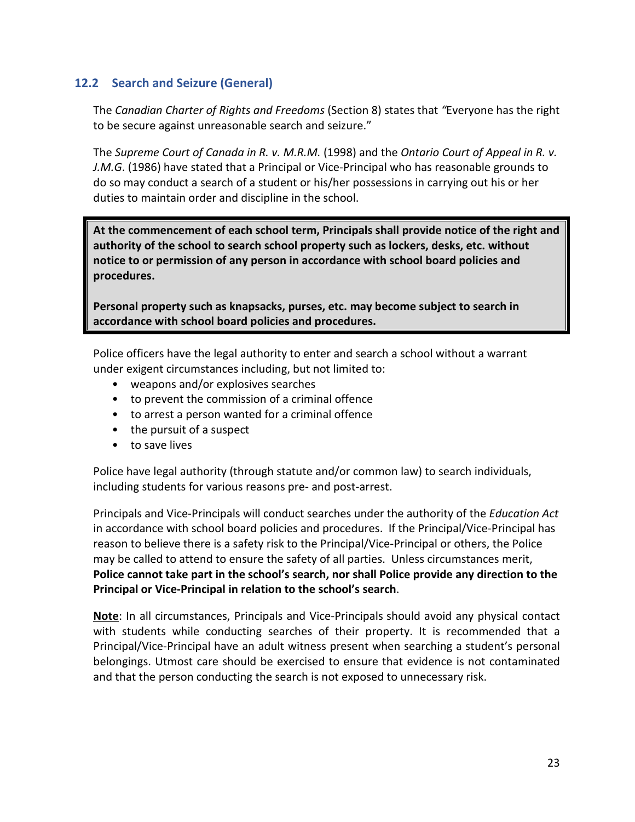#### <span id="page-22-0"></span>**12.2 Search and Seizure (General)**

The *Canadian Charter of Rights and Freedoms* (Section 8) states that *"*Everyone has the right to be secure against unreasonable search and seizure."

The *Supreme Court of Canada in R. v. M.R.M.* (1998) and the *Ontario Court of Appeal in R. v. J.M.G*. (1986) have stated that a Principal or Vice-Principal who has reasonable grounds to do so may conduct a search of a student or his/her possessions in carrying out his or her duties to maintain order and discipline in the school.

**At the commencement of each school term, Principals shall provide notice of the right and authority of the school to search school property such as lockers, desks, etc. without notice to or permission of any person in accordance with school board policies and procedures.** 

**Personal property such as knapsacks, purses, etc. may become subject to search in accordance with school board policies and procedures.** 

Police officers have the legal authority to enter and search a school without a warrant under exigent circumstances including, but not limited to:

- weapons and/or explosives searches
- to prevent the commission of a criminal offence
- to arrest a person wanted for a criminal offence
- the pursuit of a suspect
- to save lives

Police have legal authority (through statute and/or common law) to search individuals, including students for various reasons pre- and post-arrest.

Principals and Vice-Principals will conduct searches under the authority of the *Education Act*  in accordance with school board policies and procedures. If the Principal/Vice-Principal has reason to believe there is a safety risk to the Principal/Vice-Principal or others, the Police may be called to attend to ensure the safety of all parties. Unless circumstances merit, **Police cannot take part in the school's search, nor shall Police provide any direction to the Principal or Vice-Principal in relation to the school's search**.

**Note**: In all circumstances, Principals and Vice-Principals should avoid any physical contact with students while conducting searches of their property. It is recommended that a Principal/Vice-Principal have an adult witness present when searching a student's personal belongings. Utmost care should be exercised to ensure that evidence is not contaminated and that the person conducting the search is not exposed to unnecessary risk.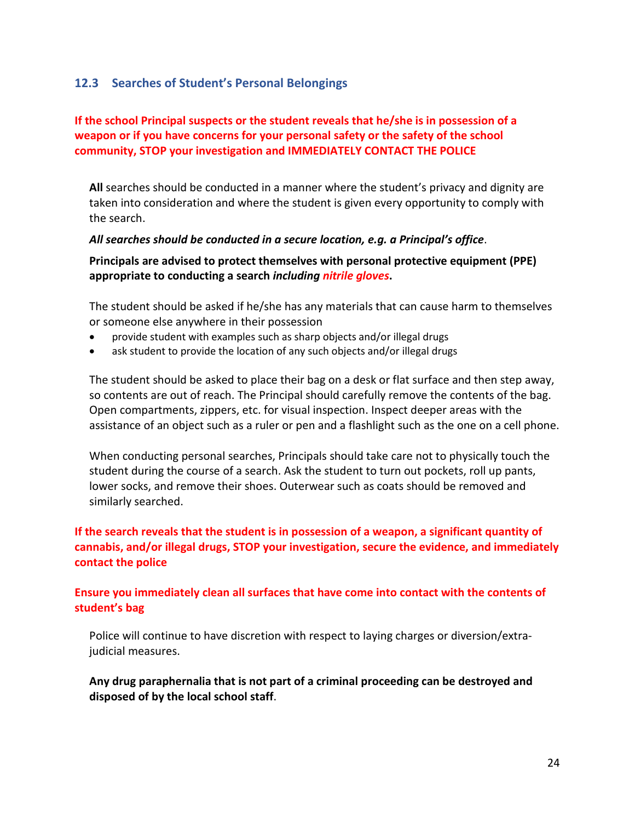#### <span id="page-23-0"></span>**12.3 Searches of Student's Personal Belongings**

#### **If the school Principal suspects or the student reveals that he/she is in possession of a weapon or if you have concerns for your personal safety or the safety of the school community, STOP your investigation and IMMEDIATELY CONTACT THE POLICE**

**All** searches should be conducted in a manner where the student's privacy and dignity are taken into consideration and where the student is given every opportunity to comply with the search.

#### *All searches should be conducted in a secure location, e.g. a Principal's office*.

**Principals are advised to protect themselves with personal protective equipment (PPE) appropriate to conducting a search** *including nitrile gloves***.** 

The student should be asked if he/she has any materials that can cause harm to themselves or someone else anywhere in their possession

- provide student with examples such as sharp objects and/or illegal drugs
- ask student to provide the location of any such objects and/or illegal drugs

The student should be asked to place their bag on a desk or flat surface and then step away, so contents are out of reach. The Principal should carefully remove the contents of the bag. Open compartments, zippers, etc. for visual inspection. Inspect deeper areas with the assistance of an object such as a ruler or pen and a flashlight such as the one on a cell phone.

When conducting personal searches, Principals should take care not to physically touch the student during the course of a search. Ask the student to turn out pockets, roll up pants, lower socks, and remove their shoes. Outerwear such as coats should be removed and similarly searched.

#### **If the search reveals that the student is in possession of a weapon, a significant quantity of cannabis, and/or illegal drugs, STOP your investigation, secure the evidence, and immediately contact the police**

#### **Ensure you immediately clean all surfaces that have come into contact with the contents of student's bag**

Police will continue to have discretion with respect to laying charges or diversion/extrajudicial measures.

**Any drug paraphernalia that is not part of a criminal proceeding can be destroyed and disposed of by the local school staff**.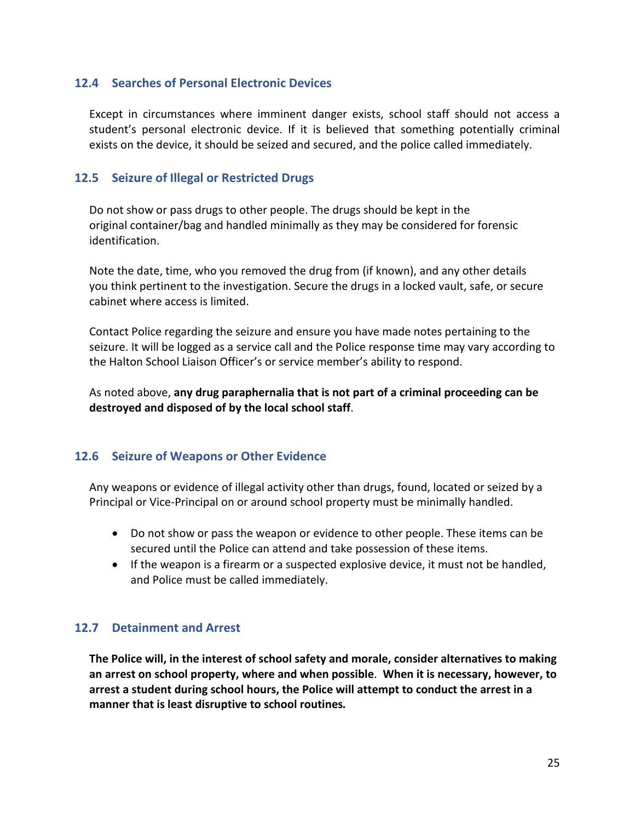#### <span id="page-24-0"></span>**12.4 Searches of Personal Electronic Devices**

Except in circumstances where imminent danger exists, school staff should not access a student's personal electronic device. If it is believed that something potentially criminal exists on the device, it should be seized and secured, and the police called immediately.

#### <span id="page-24-1"></span>**12.5 Seizure of Illegal or Restricted Drugs**

Do not show or pass drugs to other people. The drugs should be kept in the original container/bag and handled minimally as they may be considered for forensic identification.

Note the date, time, who you removed the drug from (if known), and any other details you think pertinent to the investigation. Secure the drugs in a locked vault, safe, or secure cabinet where access is limited.

Contact Police regarding the seizure and ensure you have made notes pertaining to the seizure. It will be logged as a service call and the Police response time may vary according to the Halton School Liaison Officer's or service member's ability to respond.

As noted above, **any drug paraphernalia that is not part of a criminal proceeding can be destroyed and disposed of by the local school staff**.

#### <span id="page-24-2"></span>**12.6 Seizure of Weapons or Other Evidence**

Any weapons or evidence of illegal activity other than drugs, found, located or seized by a Principal or Vice-Principal on or around school property must be minimally handled.

- Do not show or pass the weapon or evidence to other people. These items can be secured until the Police can attend and take possession of these items.
- If the weapon is a firearm or a suspected explosive device, it must not be handled, and Police must be called immediately.

#### <span id="page-24-3"></span>**12.7 Detainment and Arrest**

**The Police will, in the interest of school safety and morale, consider alternatives to making an arrest on school property, where and when possible**. **When it is necessary, however, to arrest a student during school hours, the Police will attempt to conduct the arrest in a manner that is least disruptive to school routines***.*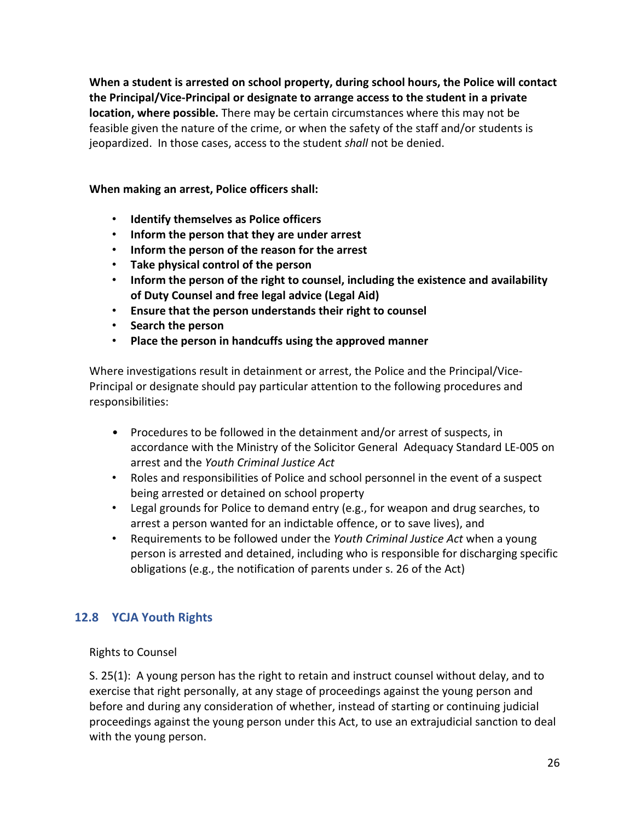**When a student is arrested on school property, during school hours, the Police will contact the Principal/Vice-Principal or designate to arrange access to the student in a private location, where possible.** There may be certain circumstances where this may not be feasible given the nature of the crime, or when the safety of the staff and/or students is jeopardized. In those cases, access to the student *shall* not be denied.

**When making an arrest, Police officers shall:**

- **Identify themselves as Police officers**
- **Inform the person that they are under arrest**
- **Inform the person of the reason for the arrest**
- **Take physical control of the person**
- **Inform the person of the right to counsel, including the existence and availability of Duty Counsel and free legal advice (Legal Aid)**
- **Ensure that the person understands their right to counsel**
- **Search the person**
- **Place the person in handcuffs using the approved manner**

Where investigations result in detainment or arrest, the Police and the Principal/Vice-Principal or designate should pay particular attention to the following procedures and responsibilities:

- Procedures to be followed in the detainment and/or arrest of suspects, in accordance with the Ministry of the Solicitor General Adequacy Standard LE-005 on arrest and the *Youth Criminal Justice Act*
- Roles and responsibilities of Police and school personnel in the event of a suspect being arrested or detained on school property
- Legal grounds for Police to demand entry (e.g., for weapon and drug searches, to arrest a person wanted for an indictable offence, or to save lives), and
- Requirements to be followed under the *Youth Criminal Justice Act* when a young person is arrested and detained, including who is responsible for discharging specific obligations (e.g., the notification of parents under s. 26 of the Act)

#### <span id="page-25-0"></span>**12.8 YCJA Youth Rights**

Rights to Counsel

S. 25(1): A young person has the right to retain and instruct counsel without delay, and to exercise that right personally, at any stage of proceedings against the young person and before and during any consideration of whether, instead of starting or continuing judicial proceedings against the young person under this Act, to use an extrajudicial sanction to deal with the young person.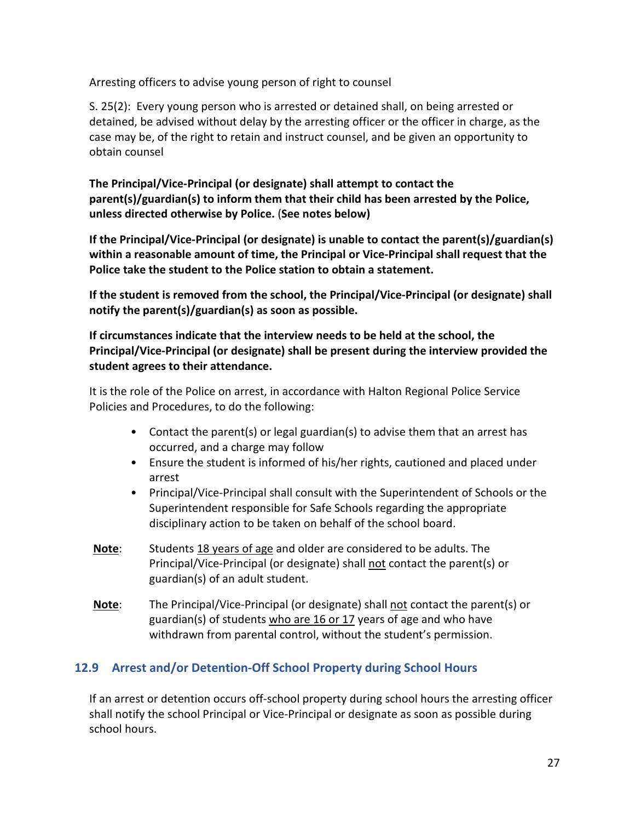Arresting officers to advise young person of right to counsel

S. 25(2): Every young person who is arrested or detained shall, on being arrested or detained, be advised without delay by the arresting officer or the officer in charge, as the case may be, of the right to retain and instruct counsel, and be given an opportunity to obtain counsel

**The Principal/Vice-Principal (or designate) shall attempt to contact the parent(s)/guardian(s) to inform them that their child has been arrested by the Police, unless directed otherwise by Police.** (**See notes below)**

**If the Principal/Vice-Principal (or designate) is unable to contact the parent(s)/guardian(s) within a reasonable amount of time, the Principal or Vice-Principal shall request that the Police take the student to the Police station to obtain a statement.**

**If the student is removed from the school, the Principal/Vice-Principal (or designate) shall notify the parent(s)/guardian(s) as soon as possible.**

**If circumstances indicate that the interview needs to be held at the school, the Principal/Vice-Principal (or designate) shall be present during the interview provided the student agrees to their attendance.** 

It is the role of the Police on arrest, in accordance with Halton Regional Police Service Policies and Procedures, to do the following:

- Contact the parent(s) or legal guardian(s) to advise them that an arrest has occurred, and a charge may follow
- Ensure the student is informed of his/her rights, cautioned and placed under arrest
- Principal/Vice-Principal shall consult with the Superintendent of Schools or the Superintendent responsible for Safe Schools regarding the appropriate disciplinary action to be taken on behalf of the school board.
- **Note**: Students 18 years of age and older are considered to be adults. The Principal/Vice-Principal (or designate) shall not contact the parent(s) or guardian(s) of an adult student.
- **Note**: The Principal/Vice-Principal (or designate) shall not contact the parent(s) or guardian(s) of students who are 16 or 17 years of age and who have withdrawn from parental control, without the student's permission.

# <span id="page-26-0"></span>**12.9 Arrest and/or Detention-Off School Property during School Hours**

If an arrest or detention occurs off-school property during school hours the arresting officer shall notify the school Principal or Vice-Principal or designate as soon as possible during school hours.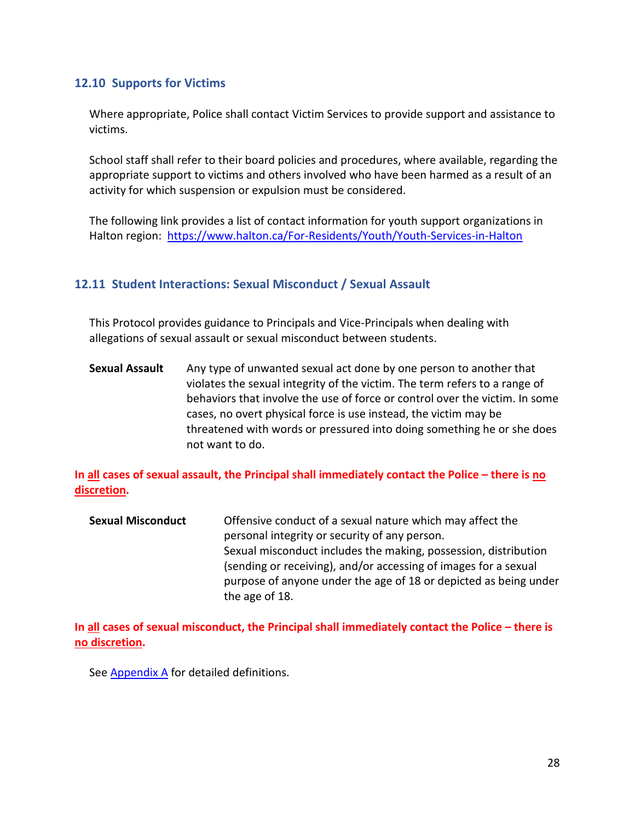#### <span id="page-27-0"></span>**12.10 Supports for Victims**

Where appropriate, Police shall contact Victim Services to provide support and assistance to victims.

School staff shall refer to their board policies and procedures, where available, regarding the appropriate support to victims and others involved who have been harmed as a result of an activity for which suspension or expulsion must be considered.

The following link provides a list of contact information for youth support organizations in Halton region: <https://www.halton.ca/For-Residents/Youth/Youth-Services-in-Halton>

#### <span id="page-27-1"></span>**12.11 Student Interactions: Sexual Misconduct / Sexual Assault**

This Protocol provides guidance to Principals and Vice-Principals when dealing with allegations of sexual assault or sexual misconduct between students.

**Sexual Assault** Any type of unwanted sexual act done by one person to another that violates the sexual integrity of the victim. The term refers to a range of behaviors that involve the use of force or control over the victim. In some cases, no overt physical force is use instead, the victim may be threatened with words or pressured into doing something he or she does not want to do.

**In all cases of sexual assault, the Principal shall immediately contact the Police – there is no discretion.** 

**Sexual Misconduct** Offensive conduct of a sexual nature which may affect the personal integrity or security of any person. Sexual misconduct includes the making, possession, distribution (sending or receiving), and/or accessing of images for a sexual purpose of anyone under the age of 18 or depicted as being under the age of 18.

**In all cases of sexual misconduct, the Principal shall immediately contact the Police – there is no discretion.** 

See Appendix A for detailed definitions.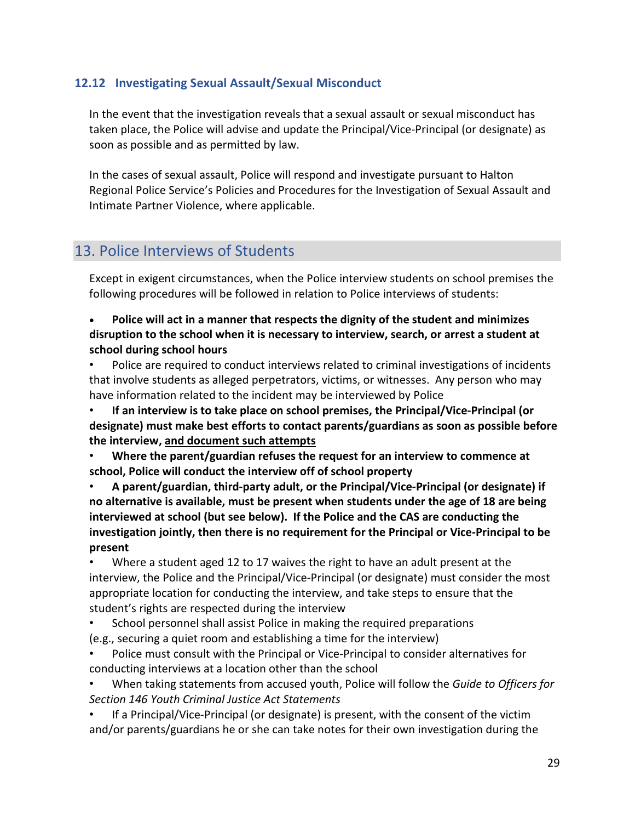#### <span id="page-28-0"></span>**12.12 Investigating Sexual Assault/Sexual Misconduct**

In the event that the investigation reveals that a sexual assault or sexual misconduct has taken place, the Police will advise and update the Principal/Vice-Principal (or designate) as soon as possible and as permitted by law.

In the cases of sexual assault, Police will respond and investigate pursuant to Halton Regional Police Service's Policies and Procedures for the Investigation of Sexual Assault and Intimate Partner Violence, where applicable.

## <span id="page-28-1"></span>13. Police Interviews of Students

Except in exigent circumstances, when the Police interview students on school premises the following procedures will be followed in relation to Police interviews of students:

• **Police will act in a manner that respects the dignity of the student and minimizes disruption to the school when it is necessary to interview, search, or arrest a student at school during school hours**

Police are required to conduct interviews related to criminal investigations of incidents that involve students as alleged perpetrators, victims, or witnesses. Any person who may have information related to the incident may be interviewed by Police

• **If an interview is to take place on school premises, the Principal/Vice-Principal (or designate) must make best efforts to contact parents/guardians as soon as possible before the interview, and document such attempts**

• **Where the parent/guardian refuses the request for an interview to commence at school, Police will conduct the interview off of school property**

• **A parent/guardian, third-party adult, or the Principal/Vice-Principal (or designate) if no alternative is available, must be present when students under the age of 18 are being interviewed at school (but see below). If the Police and the CAS are conducting the investigation jointly, then there is no requirement for the Principal or Vice-Principal to be present** 

• Where a student aged 12 to 17 waives the right to have an adult present at the interview, the Police and the Principal/Vice-Principal (or designate) must consider the most appropriate location for conducting the interview, and take steps to ensure that the student's rights are respected during the interview

• School personnel shall assist Police in making the required preparations (e.g., securing a quiet room and establishing a time for the interview)

• Police must consult with the Principal or Vice-Principal to consider alternatives for conducting interviews at a location other than the school

• When taking statements from accused youth, Police will follow the *Guide to Officers for Section 146 Youth Criminal Justice Act Statements*

• If a Principal/Vice-Principal (or designate) is present, with the consent of the victim and/or parents/guardians he or she can take notes for their own investigation during the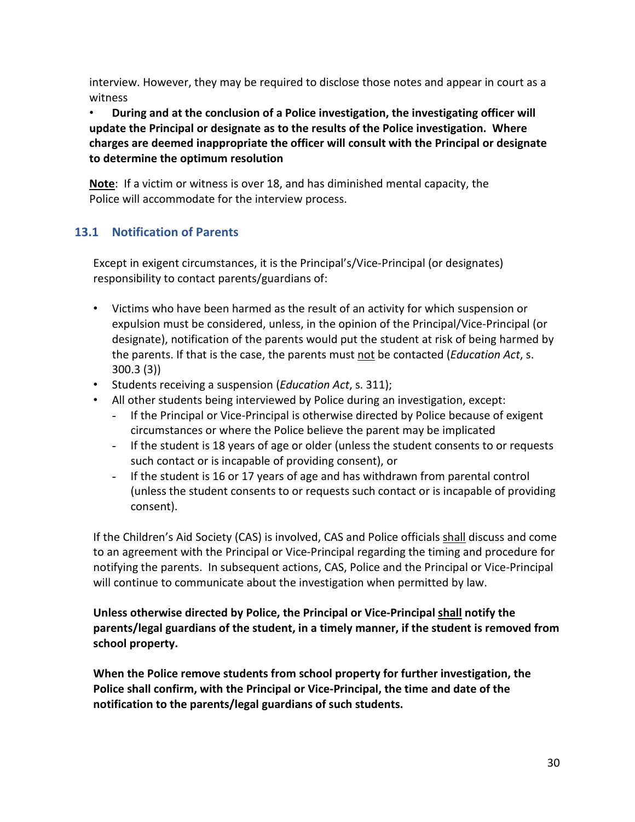interview. However, they may be required to disclose those notes and appear in court as a witness

• **During and at the conclusion of a Police investigation, the investigating officer will update the Principal or designate as to the results of the Police investigation. Where charges are deemed inappropriate the officer will consult with the Principal or designate to determine the optimum resolution**

**Note**: If a victim or witness is over 18, and has diminished mental capacity, the Police will accommodate for the interview process.

## <span id="page-29-0"></span>**13.1 Notification of Parents**

Except in exigent circumstances, it is the Principal's/Vice-Principal (or designates) responsibility to contact parents/guardians of:

- Victims who have been harmed as the result of an activity for which suspension or expulsion must be considered, unless, in the opinion of the Principal/Vice-Principal (or designate), notification of the parents would put the student at risk of being harmed by the parents. If that is the case, the parents must not be contacted (*Education Act*, s. 300.3 (3))
- Students receiving a suspension (*Education Act*, s. 311);
- All other students being interviewed by Police during an investigation, except:
	- If the Principal or Vice-Principal is otherwise directed by Police because of exigent circumstances or where the Police believe the parent may be implicated
	- If the student is 18 years of age or older (unless the student consents to or requests such contact or is incapable of providing consent), or
	- If the student is 16 or 17 years of age and has withdrawn from parental control (unless the student consents to or requests such contact or is incapable of providing consent).

If the Children's Aid Society (CAS) is involved, CAS and Police officials shall discuss and come to an agreement with the Principal or Vice-Principal regarding the timing and procedure for notifying the parents. In subsequent actions, CAS, Police and the Principal or Vice-Principal will continue to communicate about the investigation when permitted by law.

**Unless otherwise directed by Police, the Principal or Vice-Principal shall notify the parents/legal guardians of the student, in a timely manner, if the student is removed from school property.** 

**When the Police remove students from school property for further investigation, the Police shall confirm, with the Principal or Vice-Principal, the time and date of the notification to the parents/legal guardians of such students.**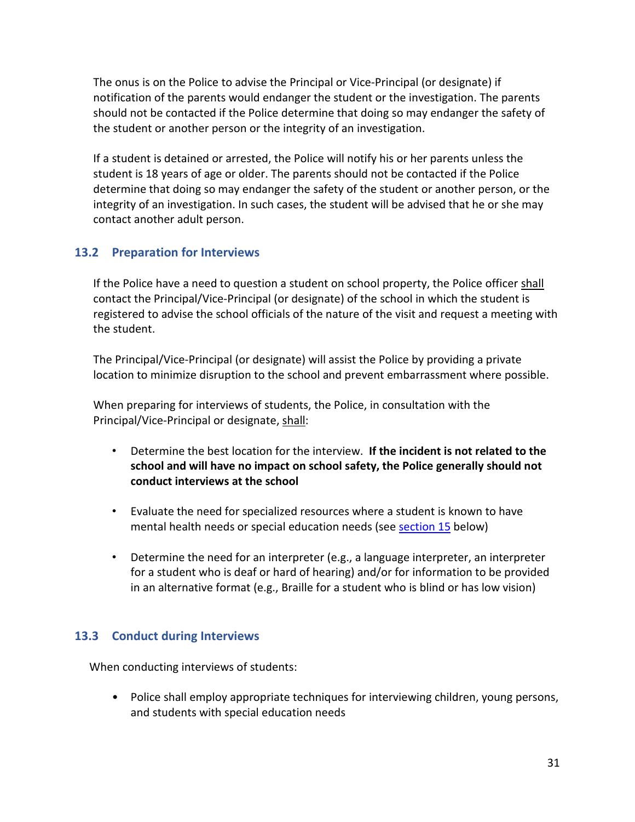The onus is on the Police to advise the Principal or Vice-Principal (or designate) if notification of the parents would endanger the student or the investigation. The parents should not be contacted if the Police determine that doing so may endanger the safety of the student or another person or the integrity of an investigation.

If a student is detained or arrested, the Police will notify his or her parents unless the student is 18 years of age or older. The parents should not be contacted if the Police determine that doing so may endanger the safety of the student or another person, or the integrity of an investigation. In such cases, the student will be advised that he or she may contact another adult person.

#### <span id="page-30-0"></span>**13.2 Preparation for Interviews**

If the Police have a need to question a student on school property, the Police officer shall contact the Principal/Vice-Principal (or designate) of the school in which the student is registered to advise the school officials of the nature of the visit and request a meeting with the student.

The Principal/Vice-Principal (or designate) will assist the Police by providing a private location to minimize disruption to the school and prevent embarrassment where possible.

When preparing for interviews of students, the Police, in consultation with the Principal/Vice-Principal or designate, shall:

- Determine the best location for the interview. **If the incident is not related to the school and will have no impact on school safety, the Police generally should not conduct interviews at the school**
- Evaluate the need for specialized resources where a student is known to have mental health needs or special education needs (see [section 15](#page-32-2) below)
- Determine the need for an interpreter (e.g., a language interpreter, an interpreter for a student who is deaf or hard of hearing) and/or for information to be provided in an alternative format (e.g., Braille for a student who is blind or has low vision)

#### <span id="page-30-1"></span>**13.3 Conduct during Interviews**

When conducting interviews of students:

• Police shall employ appropriate techniques for interviewing children, young persons, and students with special education needs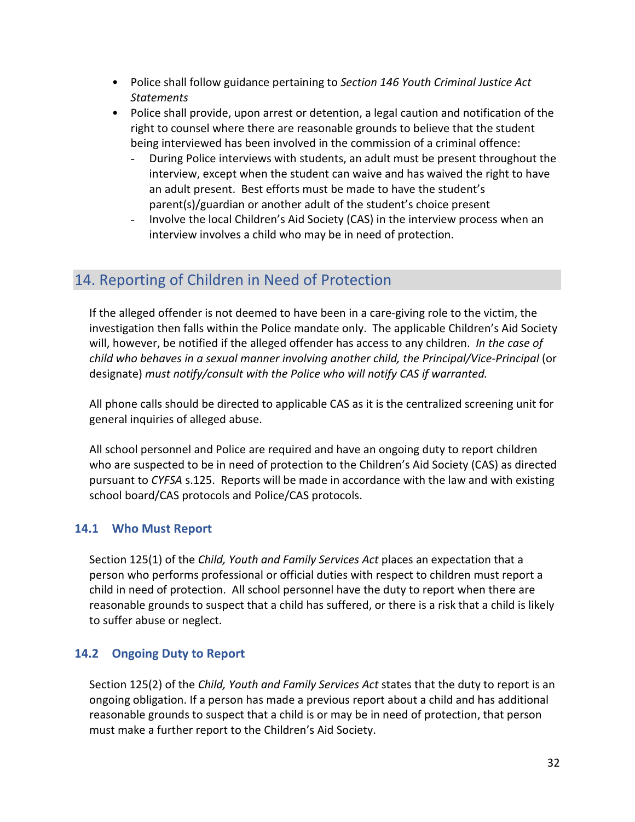- Police shall follow guidance pertaining to *Section 146 Youth Criminal Justice Act Statements*
- Police shall provide, upon arrest or detention, a legal caution and notification of the right to counsel where there are reasonable grounds to believe that the student being interviewed has been involved in the commission of a criminal offence:
	- During Police interviews with students, an adult must be present throughout the interview, except when the student can waive and has waived the right to have an adult present. Best efforts must be made to have the student's parent(s)/guardian or another adult of the student's choice present
	- Involve the local Children's Aid Society (CAS) in the interview process when an interview involves a child who may be in need of protection.

# <span id="page-31-0"></span>14. Reporting of Children in Need of Protection

If the alleged offender is not deemed to have been in a care-giving role to the victim, the investigation then falls within the Police mandate only. The applicable Children's Aid Society will, however, be notified if the alleged offender has access to any children. *In the case of child who behaves in a sexual manner involving another child, the Principal/Vice-Principal* (or designate) *must notify/consult with the Police who will notify CAS if warranted.*

All phone calls should be directed to applicable CAS as it is the centralized screening unit for general inquiries of alleged abuse.

All school personnel and Police are required and have an ongoing duty to report children who are suspected to be in need of protection to the Children's Aid Society (CAS) as directed pursuant to *CYFSA* s.125. Reports will be made in accordance with the law and with existing school board/CAS protocols and Police/CAS protocols.

#### <span id="page-31-1"></span>**14.1 Who Must Report**

Section 125(1) of the *Child, Youth and Family Services Act* places an expectation that a person who performs professional or official duties with respect to children must report a child in need of protection. All school personnel have the duty to report when there are reasonable grounds to suspect that a child has suffered, or there is a risk that a child is likely to suffer abuse or neglect.

#### <span id="page-31-2"></span>**14.2 Ongoing Duty to Report**

Section 125(2) of the *Child, Youth and Family Services Act* states that the duty to report is an ongoing obligation. If a person has made a previous report about a child and has additional reasonable grounds to suspect that a child is or may be in need of protection, that person must make a further report to the Children's Aid Society.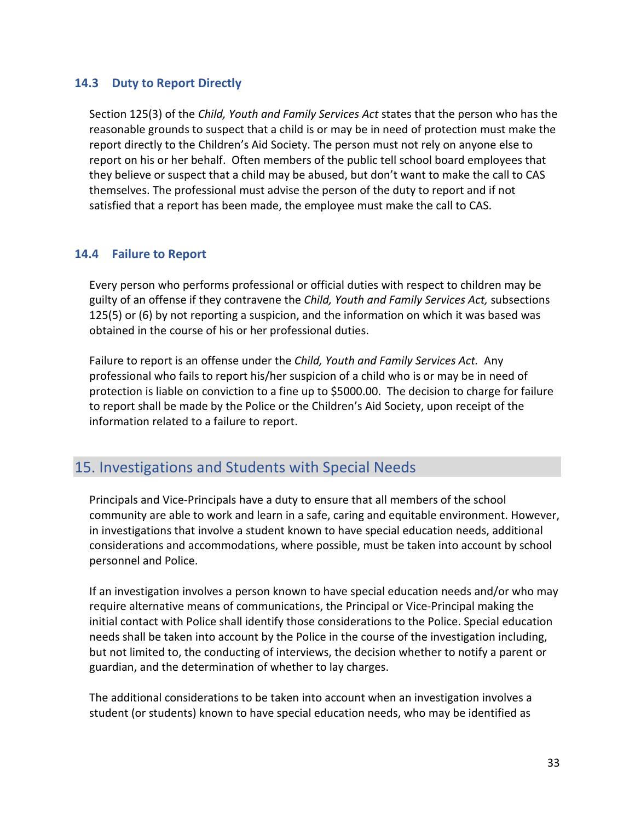#### <span id="page-32-0"></span>**14.3 Duty to Report Directly**

Section 125(3) of the *Child, Youth and Family Services Act* states that the person who has the reasonable grounds to suspect that a child is or may be in need of protection must make the report directly to the Children's Aid Society. The person must not rely on anyone else to report on his or her behalf. Often members of the public tell school board employees that they believe or suspect that a child may be abused, but don't want to make the call to CAS themselves. The professional must advise the person of the duty to report and if not satisfied that a report has been made, the employee must make the call to CAS.

#### <span id="page-32-1"></span>**14.4 Failure to Report**

Every person who performs professional or official duties with respect to children may be guilty of an offense if they contravene the *Child, Youth and Family Services Act,* subsections 125(5) or (6) by not reporting a suspicion, and the information on which it was based was obtained in the course of his or her professional duties.

Failure to report is an offense under the *Child, Youth and Family Services Act.* Any professional who fails to report his/her suspicion of a child who is or may be in need of protection is liable on conviction to a fine up to \$5000.00. The decision to charge for failure to report shall be made by the Police or the Children's Aid Society, upon receipt of the information related to a failure to report.

# <span id="page-32-2"></span>15. Investigations and Students with Special Needs

Principals and Vice-Principals have a duty to ensure that all members of the school community are able to work and learn in a safe, caring and equitable environment. However, in investigations that involve a student known to have special education needs, additional considerations and accommodations, where possible, must be taken into account by school personnel and Police.

If an investigation involves a person known to have special education needs and/or who may require alternative means of communications, the Principal or Vice-Principal making the initial contact with Police shall identify those considerations to the Police. Special education needs shall be taken into account by the Police in the course of the investigation including, but not limited to, the conducting of interviews, the decision whether to notify a parent or guardian, and the determination of whether to lay charges.

The additional considerations to be taken into account when an investigation involves a student (or students) known to have special education needs, who may be identified as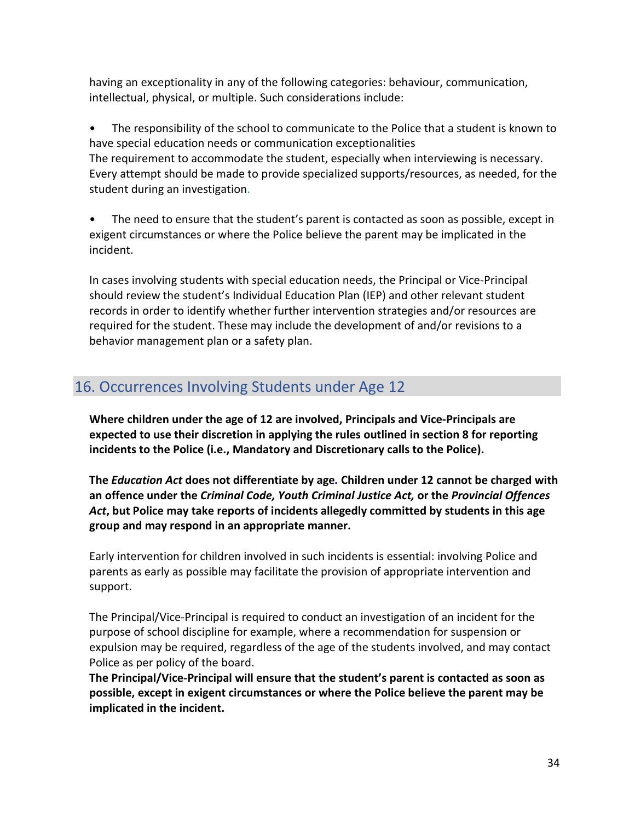having an exceptionality in any of the following categories: behaviour, communication, intellectual, physical, or multiple. Such considerations include:

• The responsibility of the school to communicate to the Police that a student is known to have special education needs or communication exceptionalities The requirement to accommodate the student, especially when interviewing is necessary. Every attempt should be made to provide specialized supports/resources, as needed, for the student during an investigation.

• The need to ensure that the student's parent is contacted as soon as possible, except in exigent circumstances or where the Police believe the parent may be implicated in the incident.

In cases involving students with special education needs, the Principal or Vice-Principal should review the student's Individual Education Plan (IEP) and other relevant student records in order to identify whether further intervention strategies and/or resources are required for the student. These may include the development of and/or revisions to a behavior management plan or a safety plan.

# <span id="page-33-0"></span>16. Occurrences Involving Students under Age 12

**Where children under the age of 12 are involved, Principals and Vice-Principals are expected to use their discretion in applying the rules outlined in section 8 for reporting incidents to the Police (i.e., Mandatory and Discretionary calls to the Police).**

**The** *Education Act* **does not differentiate by age***.* **Children under 12 cannot be charged with an offence under the** *Criminal Code, Youth Criminal Justice Act,* **or the** *Provincial Offences Act***, but Police may take reports of incidents allegedly committed by students in this age group and may respond in an appropriate manner.**

Early intervention for children involved in such incidents is essential: involving Police and parents as early as possible may facilitate the provision of appropriate intervention and support.

The Principal/Vice-Principal is required to conduct an investigation of an incident for the purpose of school discipline for example, where a recommendation for suspension or expulsion may be required, regardless of the age of the students involved, and may contact Police as per policy of the board.

**The Principal/Vice-Principal will ensure that the student's parent is contacted as soon as possible, except in exigent circumstances or where the Police believe the parent may be implicated in the incident.**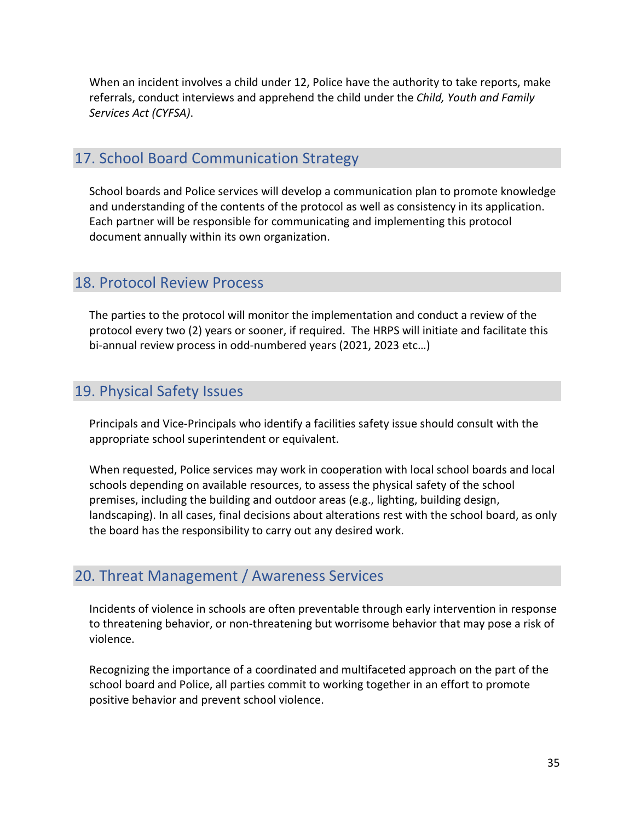When an incident involves a child under 12, Police have the authority to take reports, make referrals, conduct interviews and apprehend the child under the *Child, Youth and Family Services Act (CYFSA)*.

# <span id="page-34-0"></span>17. School Board Communication Strategy

School boards and Police services will develop a communication plan to promote knowledge and understanding of the contents of the protocol as well as consistency in its application. Each partner will be responsible for communicating and implementing this protocol document annually within its own organization.

## <span id="page-34-1"></span>18. Protocol Review Process

The parties to the protocol will monitor the implementation and conduct a review of the protocol every two (2) years or sooner, if required. The HRPS will initiate and facilitate this bi-annual review process in odd-numbered years (2021, 2023 etc…)

# <span id="page-34-2"></span>19. Physical Safety Issues

Principals and Vice-Principals who identify a facilities safety issue should consult with the appropriate school superintendent or equivalent.

When requested, Police services may work in cooperation with local school boards and local schools depending on available resources, to assess the physical safety of the school premises, including the building and outdoor areas (e.g., lighting, building design, landscaping). In all cases, final decisions about alterations rest with the school board, as only the board has the responsibility to carry out any desired work.

# <span id="page-34-3"></span>20. Threat Management / Awareness Services

Incidents of violence in schools are often preventable through early intervention in response to threatening behavior, or non-threatening but worrisome behavior that may pose a risk of violence.

Recognizing the importance of a coordinated and multifaceted approach on the part of the school board and Police, all parties commit to working together in an effort to promote positive behavior and prevent school violence.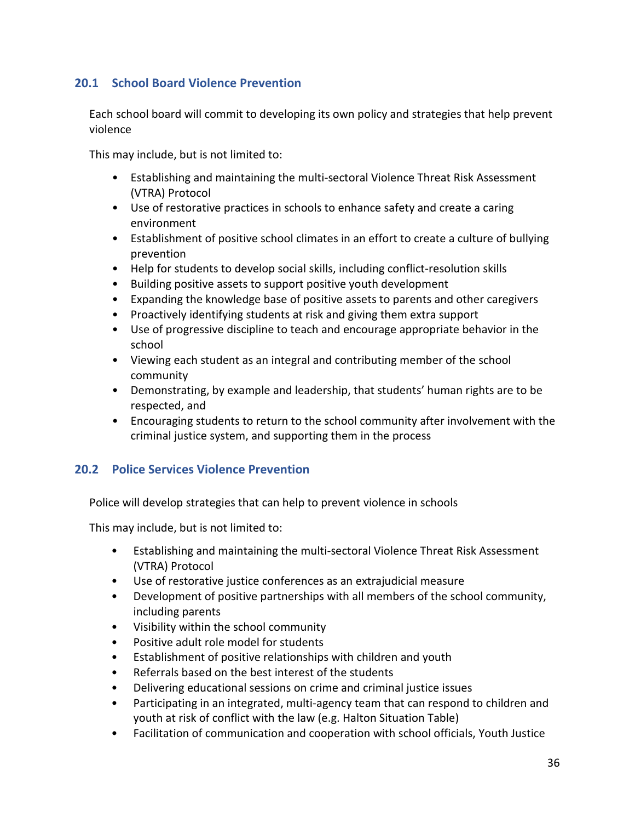## <span id="page-35-0"></span>**20.1 School Board Violence Prevention**

Each school board will commit to developing its own policy and strategies that help prevent violence

This may include, but is not limited to:

- Establishing and maintaining the multi-sectoral Violence Threat Risk Assessment (VTRA) Protocol
- Use of restorative practices in schools to enhance safety and create a caring environment
- Establishment of positive school climates in an effort to create a culture of bullying prevention
- Help for students to develop social skills, including conflict-resolution skills
- Building positive assets to support positive youth development
- Expanding the knowledge base of positive assets to parents and other caregivers
- Proactively identifying students at risk and giving them extra support
- Use of progressive discipline to teach and encourage appropriate behavior in the school
- Viewing each student as an integral and contributing member of the school community
- Demonstrating, by example and leadership, that students' human rights are to be respected, and
- Encouraging students to return to the school community after involvement with the criminal justice system, and supporting them in the process

#### <span id="page-35-1"></span>**20.2 Police Services Violence Prevention**

Police will develop strategies that can help to prevent violence in schools

This may include, but is not limited to:

- Establishing and maintaining the multi-sectoral Violence Threat Risk Assessment (VTRA) Protocol
- Use of restorative justice conferences as an extrajudicial measure
- Development of positive partnerships with all members of the school community, including parents
- Visibility within the school community
- Positive adult role model for students
- Establishment of positive relationships with children and youth
- Referrals based on the best interest of the students
- Delivering educational sessions on crime and criminal justice issues
- Participating in an integrated, multi-agency team that can respond to children and youth at risk of conflict with the law (e.g. Halton Situation Table)
- Facilitation of communication and cooperation with school officials, Youth Justice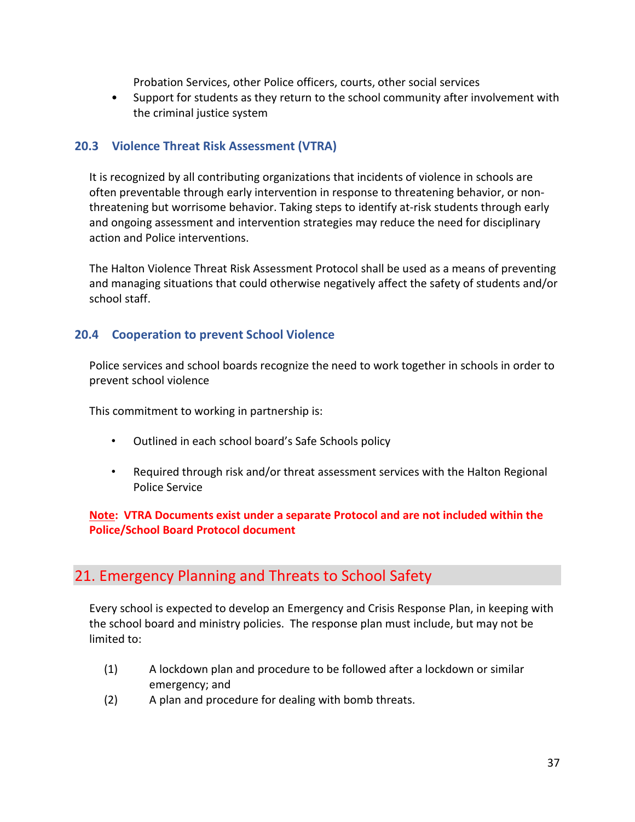Probation Services, other Police officers, courts, other social services

• Support for students as they return to the school community after involvement with the criminal justice system

#### <span id="page-36-0"></span>**20.3 Violence Threat Risk Assessment (VTRA)**

It is recognized by all contributing organizations that incidents of violence in schools are often preventable through early intervention in response to threatening behavior, or nonthreatening but worrisome behavior. Taking steps to identify at-risk students through early and ongoing assessment and intervention strategies may reduce the need for disciplinary action and Police interventions.

The Halton Violence Threat Risk Assessment Protocol shall be used as a means of preventing and managing situations that could otherwise negatively affect the safety of students and/or school staff.

#### <span id="page-36-1"></span>**20.4 Cooperation to prevent School Violence**

Police services and school boards recognize the need to work together in schools in order to prevent school violence

This commitment to working in partnership is:

- Outlined in each school board's Safe Schools policy
- Required through risk and/or threat assessment services with the Halton Regional Police Service

#### **Note: VTRA Documents exist under a separate Protocol and are not included within the Police/School Board Protocol document**

# <span id="page-36-2"></span>21. Emergency Planning and Threats to School Safety

Every school is expected to develop an Emergency and Crisis Response Plan, in keeping with the school board and ministry policies. The response plan must include, but may not be limited to:

- (1) A lockdown plan and procedure to be followed after a lockdown or similar emergency; and
- (2) A plan and procedure for dealing with bomb threats.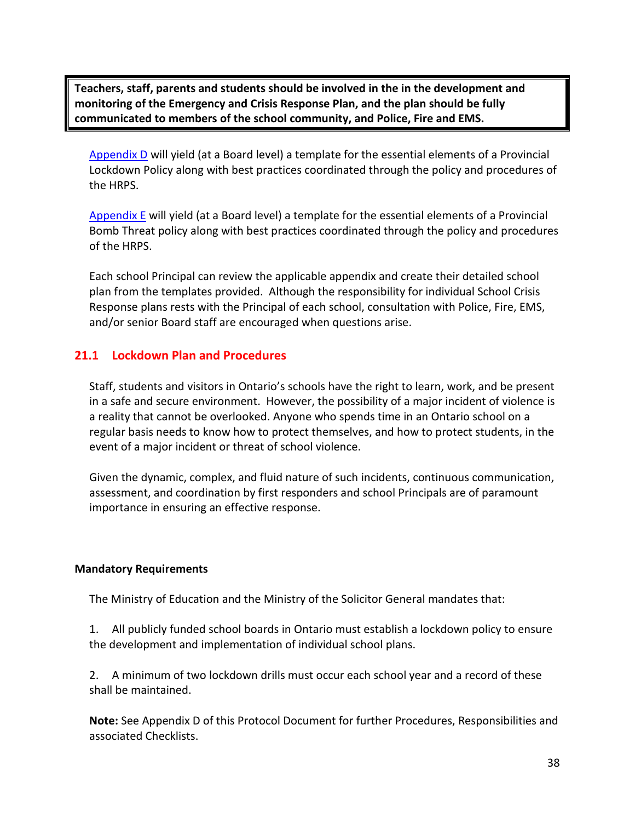**Teachers, staff, parents and students should be involved in the in the development and monitoring of the Emergency and Crisis Response Plan, and the plan should be fully communicated to members of the school community, and Police, Fire and EMS.**

Appendix D will yield (at a Board level) a template for the essential elements of a Provincial Lockdown Policy along with best practices coordinated through the policy and procedures of the HRPS.

Appendix E will yield (at a Board level) a template for the essential elements of a Provincial Bomb Threat policy along with best practices coordinated through the policy and procedures of the HRPS.

Each school Principal can review the applicable appendix and create their detailed school plan from the templates provided. Although the responsibility for individual School Crisis Response plans rests with the Principal of each school, consultation with Police, Fire, EMS, and/or senior Board staff are encouraged when questions arise.

#### <span id="page-37-0"></span>**21.1 Lockdown Plan and Procedures**

Staff, students and visitors in Ontario's schools have the right to learn, work, and be present in a safe and secure environment. However, the possibility of a major incident of violence is a reality that cannot be overlooked. Anyone who spends time in an Ontario school on a regular basis needs to know how to protect themselves, and how to protect students, in the event of a major incident or threat of school violence.

Given the dynamic, complex, and fluid nature of such incidents, continuous communication, assessment, and coordination by first responders and school Principals are of paramount importance in ensuring an effective response.

#### <span id="page-37-1"></span>**Mandatory Requirements**

The Ministry of Education and the Ministry of the Solicitor General mandates that:

1. All publicly funded school boards in Ontario must establish a lockdown policy to ensure the development and implementation of individual school plans.

2. A minimum of two lockdown drills must occur each school year and a record of these shall be maintained.

**Note:** See Appendix D of this Protocol Document for further Procedures, Responsibilities and associated Checklists.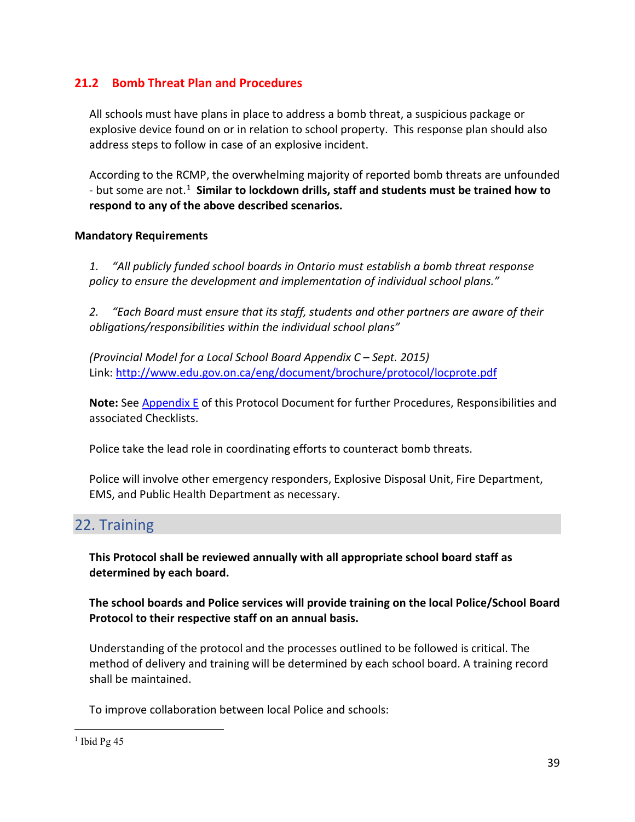#### <span id="page-38-0"></span>**21.2 Bomb Threat Plan and Procedures**

All schools must have plans in place to address a bomb threat, a suspicious package or explosive device found on or in relation to school property. This response plan should also address steps to follow in case of an explosive incident.

According to the RCMP, the overwhelming majority of reported bomb threats are unfounded - but some are not.[1](#page-38-3) **Similar to lockdown drills, staff and students must be trained how to respond to any of the above described scenarios.**

#### <span id="page-38-1"></span>**Mandatory Requirements**

*1. "All publicly funded school boards in Ontario must establish a bomb threat response policy to ensure the development and implementation of individual school plans."*

*2. "Each Board must ensure that its staff, students and other partners are aware of their obligations/responsibilities within the individual school plans"*

*(Provincial Model for a Local School Board Appendix C – Sept. 2015)* Link:<http://www.edu.gov.on.ca/eng/document/brochure/protocol/locprote.pdf>

**Note:** See Appendix E of this Protocol Document for further Procedures, Responsibilities and associated Checklists.

Police take the lead role in coordinating efforts to counteract bomb threats.

Police will involve other emergency responders, Explosive Disposal Unit, Fire Department, EMS, and Public Health Department as necessary.

# <span id="page-38-2"></span>22. Training

**This Protocol shall be reviewed annually with all appropriate school board staff as determined by each board.** 

**The school boards and Police services will provide training on the local Police/School Board Protocol to their respective staff on an annual basis.**

Understanding of the protocol and the processes outlined to be followed is critical. The method of delivery and training will be determined by each school board. A training record shall be maintained.

To improve collaboration between local Police and schools:

<span id="page-38-3"></span> $1$  Ibid Pg 45